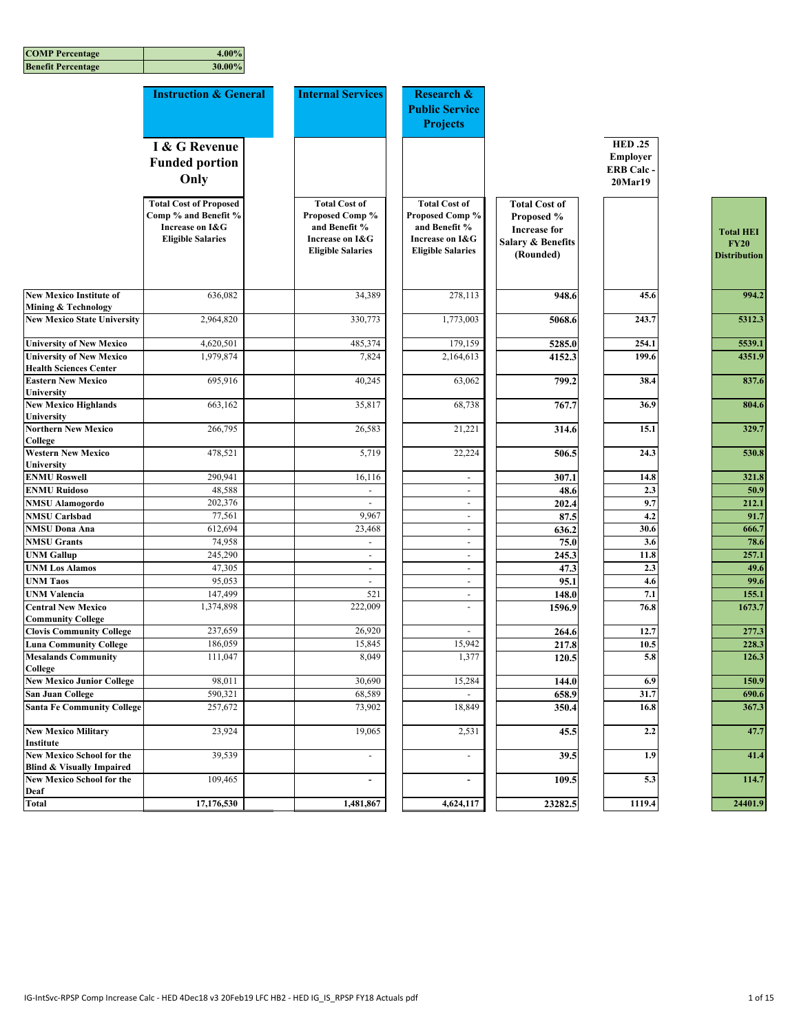| <b>Benefit Percentage</b>                                                | 30.00%                                                                                               |                                                                                                         |                                                                                                         |                                                                                                        |                                                                 |                                                        |
|--------------------------------------------------------------------------|------------------------------------------------------------------------------------------------------|---------------------------------------------------------------------------------------------------------|---------------------------------------------------------------------------------------------------------|--------------------------------------------------------------------------------------------------------|-----------------------------------------------------------------|--------------------------------------------------------|
|                                                                          | <b>Instruction &amp; General</b>                                                                     | <b>Internal Services</b>                                                                                | <b>Research &amp;</b><br><b>Public Service</b><br><b>Projects</b>                                       |                                                                                                        |                                                                 |                                                        |
|                                                                          | I & G Revenue<br><b>Funded portion</b><br>Only                                                       |                                                                                                         |                                                                                                         |                                                                                                        | <b>HED.25</b><br><b>Employer</b><br><b>ERB Calc-</b><br>20Mar19 |                                                        |
|                                                                          | <b>Total Cost of Proposed</b><br>Comp % and Benefit %<br>Increase on I&G<br><b>Eligible Salaries</b> | <b>Total Cost of</b><br>Proposed Comp %<br>and Benefit %<br>Increase on I&G<br><b>Eligible Salaries</b> | <b>Total Cost of</b><br>Proposed Comp %<br>and Benefit %<br>Increase on I&G<br><b>Eligible Salaries</b> | <b>Total Cost of</b><br>Proposed %<br><b>Increase for</b><br><b>Salary &amp; Benefits</b><br>(Rounded) |                                                                 | <b>Total HEI</b><br><b>FY20</b><br><b>Distribution</b> |
| <b>New Mexico Institute of</b><br>Mining & Technology                    | 636,082                                                                                              | 34,389                                                                                                  | 278,113                                                                                                 | 948.6                                                                                                  | 45.6                                                            | 994.2                                                  |
| <b>New Mexico State University</b>                                       | 2,964,820                                                                                            | 330,773                                                                                                 | 1,773,003                                                                                               | 5068.6                                                                                                 | 243.7                                                           | 5312.3                                                 |
| <b>University of New Mexico</b>                                          | 4,620,501                                                                                            | 485,374                                                                                                 | 179,159                                                                                                 | 5285.0                                                                                                 | 254.1                                                           | 5539.1                                                 |
| <b>University of New Mexico</b><br><b>Health Sciences Center</b>         | 1,979,874                                                                                            | 7,824                                                                                                   | 2,164,613                                                                                               | 4152.3                                                                                                 | 199.6                                                           | 4351.9                                                 |
| <b>Eastern New Mexico</b><br><b>University</b>                           | 695,916                                                                                              | 40,245                                                                                                  | 63,062                                                                                                  | 799.2                                                                                                  | 38.4                                                            | 837.6                                                  |
| <b>New Mexico Highlands</b><br><b>University</b>                         | 663,162                                                                                              | 35,817                                                                                                  | 68,738                                                                                                  | 767.7                                                                                                  | 36.9                                                            | 804.6                                                  |
| <b>Northern New Mexico</b><br><b>College</b>                             | 266,795                                                                                              | 26,583                                                                                                  | 21,221                                                                                                  | 314.6                                                                                                  | 15.1                                                            | 329.7                                                  |
| <b>Western New Mexico</b><br>University                                  | 478,521                                                                                              | 5,719                                                                                                   | 22,224                                                                                                  | 506.5                                                                                                  | 24.3                                                            | 530.8                                                  |
| <b>ENMU Roswell</b>                                                      | 290,941                                                                                              | 16,116                                                                                                  | $\overline{\phantom{a}}$                                                                                | 307.1                                                                                                  | 14.8                                                            | 321.8                                                  |
| <b>ENMU Ruidoso</b>                                                      | 48,588                                                                                               | L.                                                                                                      | $\sim$                                                                                                  | 48.6                                                                                                   | 2.3                                                             | 50.9                                                   |
| <b>NMSU Alamogordo</b>                                                   | 202,376                                                                                              | $\sim$                                                                                                  | $\sim$                                                                                                  | 202.4                                                                                                  | 9.7                                                             | 212.1                                                  |
| <b>NMSU</b> Carlsbad                                                     | 77,561                                                                                               | 9,967                                                                                                   | $\omega$                                                                                                | 87.5                                                                                                   | 4.2                                                             | 91.7                                                   |
| <b>NMSU Dona Ana</b>                                                     | 612,694                                                                                              | 23,468                                                                                                  | $\sim$                                                                                                  | 636.2                                                                                                  | 30.6                                                            | 666.7                                                  |
| <b>NMSU Grants</b>                                                       | 74,958                                                                                               | $\overline{\phantom{a}}$                                                                                | $\sim$                                                                                                  | 75.0                                                                                                   | 3.6                                                             | 78.6                                                   |
| <b>UNM Gallup</b>                                                        | 245,290                                                                                              | $\omega$                                                                                                | $\omega$                                                                                                | 245.3                                                                                                  | $11.\overline{8}$                                               | 257.1                                                  |
| <b>UNM Los Alamos</b>                                                    | 47,305                                                                                               | $\overline{\phantom{a}}$                                                                                | $\sim$                                                                                                  | 47.3                                                                                                   | 2.3                                                             | 49.6                                                   |
| <b>UNM Taos</b>                                                          | 95,053                                                                                               | $\blacksquare$                                                                                          | $\sim$                                                                                                  | 95.1                                                                                                   | 4.6                                                             | 99.6                                                   |
| <b>UNM Valencia</b>                                                      | 147,499                                                                                              | 521                                                                                                     | $\sim$                                                                                                  | 148.0                                                                                                  | 7.1                                                             | 155.1                                                  |
| <b>Central New Mexico</b>                                                | 1,374,898                                                                                            | 222,009                                                                                                 | $\overline{\phantom{a}}$                                                                                | 1596.9                                                                                                 | 76.8                                                            | 1673.7                                                 |
| <b>Community College</b>                                                 |                                                                                                      |                                                                                                         |                                                                                                         |                                                                                                        |                                                                 | 277.3                                                  |
| <b>Clovis Community College</b><br><b>Luna Community College</b>         | 237,659<br>186,059                                                                                   | 26,920<br>15,845                                                                                        | 15,942                                                                                                  | 264.6<br>217.8                                                                                         | 12.7<br>10.5                                                    | 228.3                                                  |
| <b>Mesalands Community</b><br>College                                    | 111,047                                                                                              | 8,049                                                                                                   | 1,377                                                                                                   | 120.5                                                                                                  | 5.8                                                             | 126.3                                                  |
| <b>New Mexico Junior College</b>                                         | 98,011                                                                                               | 30,690                                                                                                  | 15,284                                                                                                  | 144.0                                                                                                  | 6.9                                                             | 150.9                                                  |
| <b>San Juan College</b>                                                  | 590,321                                                                                              | 68,589                                                                                                  |                                                                                                         | 658.9                                                                                                  | 31.7                                                            | 690.6                                                  |
| <b>Santa Fe Community College</b>                                        | 257,672                                                                                              | 73,902                                                                                                  | 18,849                                                                                                  | 350.4                                                                                                  | 16.8                                                            | 367.3                                                  |
| <b>New Mexico Military</b><br>Institute                                  | 23,924                                                                                               | 19,065                                                                                                  | 2,531                                                                                                   | 45.5                                                                                                   | 2.2                                                             | 47.7                                                   |
| <b>New Mexico School for the</b><br><b>Blind &amp; Visually Impaired</b> | 39,539                                                                                               | $\omega$                                                                                                | $\omega$                                                                                                | 39.5                                                                                                   | 1.9                                                             | 41.4                                                   |
| <b>New Mexico School for the</b><br>Deaf                                 | 109,465                                                                                              | $\blacksquare$                                                                                          | $\blacksquare$                                                                                          | 109.5                                                                                                  | 5.3                                                             | 114.7                                                  |
| <b>Total</b>                                                             | 17,176,530                                                                                           | 1,481,867                                                                                               | 4,624,117                                                                                               | 23282.5                                                                                                | 1119.4                                                          | 24401.9                                                |

| <b>Total HEI</b>                   |
|------------------------------------|
| <b>FY20</b><br><b>Distribution</b> |
|                                    |
|                                    |
| 994.2                              |
|                                    |
| 5312.3                             |
|                                    |
| 5539.1                             |
| 4351.9                             |
| 837.6                              |
|                                    |
| 804.6                              |
|                                    |
| 329.7                              |
|                                    |
| 530.8                              |
| 321.8                              |
| 50.9                               |
| 212.1                              |
| 91.7                               |
| 666.<br>7                          |
| 78.6                               |
| 257.1                              |
| 49.6                               |
| 99.6                               |
| 155.1                              |
| 1673.7                             |
| 277.3                              |
| 228.3                              |
| 126.3                              |
|                                    |
| 150.9                              |
| 690.6                              |
| 367.3                              |
| 47.7                               |
|                                    |
| 41.4                               |
|                                    |
| 114.7                              |
| 9<br>24401.                        |
|                                    |

**COMP Percentage 4.00%**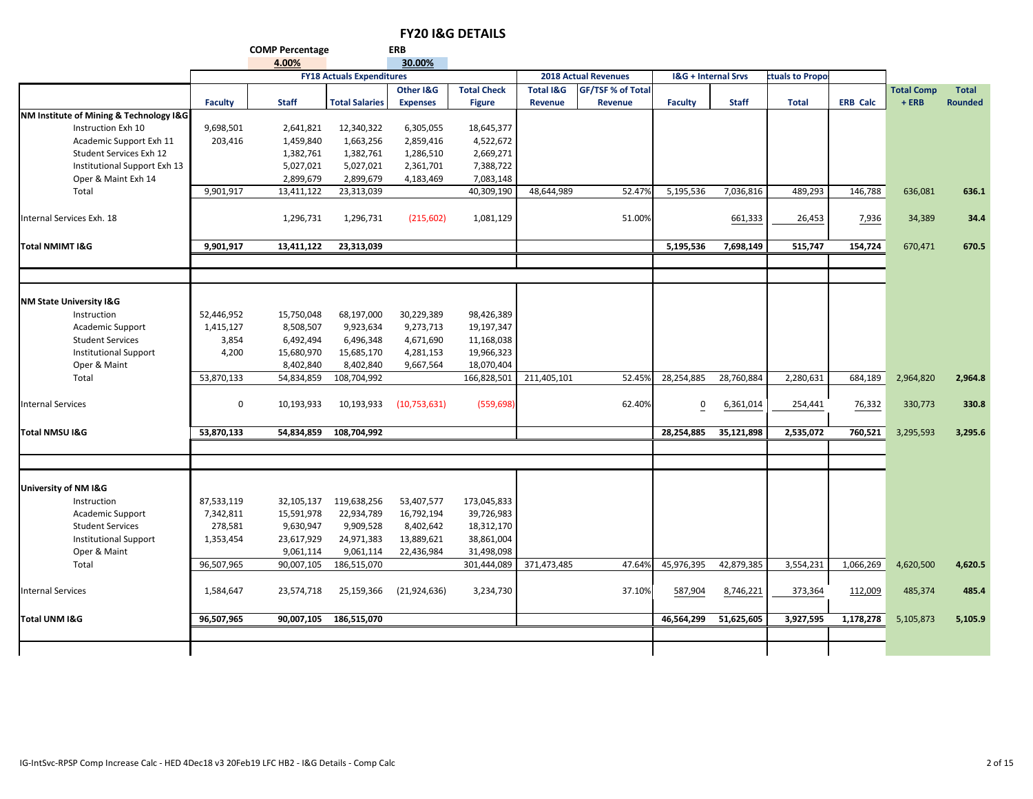|                                         |                | <b>COMP Percentage</b> |                                  | <b>ERB</b>      |                    |                      |                             |                |                                |                 |                 |                   |                |
|-----------------------------------------|----------------|------------------------|----------------------------------|-----------------|--------------------|----------------------|-----------------------------|----------------|--------------------------------|-----------------|-----------------|-------------------|----------------|
|                                         |                | 4.00%                  |                                  | 30.00%          |                    |                      |                             |                |                                |                 |                 |                   |                |
|                                         |                |                        | <b>FY18 Actuals Expenditures</b> |                 |                    |                      | <b>2018 Actual Revenues</b> |                | <b>I&amp;G + Internal Srvs</b> | ctuals to Propo |                 |                   |                |
|                                         |                |                        |                                  | Other I&G       | <b>Total Check</b> | <b>Total I&amp;G</b> | GF/TSF % of Total           |                |                                |                 |                 | <b>Total Comp</b> | <b>Total</b>   |
|                                         | <b>Faculty</b> | <b>Staff</b>           | <b>Total Salaries</b>            | <b>Expenses</b> | <b>Figure</b>      | <b>Revenue</b>       | Revenue                     | <b>Faculty</b> | <b>Staff</b>                   | <b>Total</b>    | <b>ERB Calc</b> | $+ERB$            | <b>Rounded</b> |
| NM Institute of Mining & Technology I&G |                |                        |                                  |                 |                    |                      |                             |                |                                |                 |                 |                   |                |
| Instruction Exh 10                      | 9,698,501      | 2,641,821              | 12,340,322                       | 6,305,055       | 18,645,377         |                      |                             |                |                                |                 |                 |                   |                |
| Academic Support Exh 11                 | 203,416        | 1,459,840              | 1,663,256                        | 2,859,416       | 4,522,672          |                      |                             |                |                                |                 |                 |                   |                |
| Student Services Exh 12                 |                | 1,382,761              | 1,382,761                        | 1,286,510       | 2,669,271          |                      |                             |                |                                |                 |                 |                   |                |
| Institutional Support Exh 13            |                | 5,027,021              | 5,027,021                        | 2,361,701       | 7,388,722          |                      |                             |                |                                |                 |                 |                   |                |
| Oper & Maint Exh 14                     |                | 2,899,679              | 2,899,679                        | 4,183,469       | 7,083,148          |                      |                             |                |                                |                 |                 |                   |                |
| Total                                   | 9,901,917      | 13,411,122             | 23,313,039                       |                 | 40,309,190         | 48,644,989           | 52.47%                      | 5,195,536      | 7,036,816                      | 489,293         | 146,788         | 636,081           | 636.1          |
| Internal Services Exh. 18               |                | 1,296,731              | 1,296,731                        | (215, 602)      | 1,081,129          |                      | 51.00%                      |                | 661,333                        | 26,453          | 7,936           | 34,389            | 34.4           |
| <b>Total NMIMT I&amp;G</b>              | 9,901,917      | 13,411,122             | 23,313,039                       |                 |                    |                      |                             | 5,195,536      | 7,698,149                      | 515,747         | 154,724         | 670,471           | 670.5          |
|                                         |                |                        |                                  |                 |                    |                      |                             |                |                                |                 |                 |                   |                |
|                                         |                |                        |                                  |                 |                    |                      |                             |                |                                |                 |                 |                   |                |
| <b>NM State University I&amp;G</b>      |                |                        |                                  |                 |                    |                      |                             |                |                                |                 |                 |                   |                |
| Instruction                             | 52,446,952     | 15,750,048             | 68,197,000                       | 30,229,389      | 98,426,389         |                      |                             |                |                                |                 |                 |                   |                |
| Academic Support                        | 1,415,127      | 8,508,507              | 9,923,634                        | 9,273,713       | 19,197,347         |                      |                             |                |                                |                 |                 |                   |                |
| <b>Student Services</b>                 | 3,854          | 6,492,494              | 6,496,348                        | 4,671,690       | 11,168,038         |                      |                             |                |                                |                 |                 |                   |                |
| <b>Institutional Support</b>            | 4,200          | 15,680,970             | 15,685,170                       | 4,281,153       | 19,966,323         |                      |                             |                |                                |                 |                 |                   |                |
| Oper & Maint                            |                | 8,402,840              | 8,402,840                        | 9,667,564       | 18,070,404         |                      |                             |                |                                |                 |                 |                   |                |
| Total                                   | 53,870,133     | 54,834,859             | 108,704,992                      |                 | 166,828,501        | 211,405,101          | 52.45%                      | 28,254,885     | 28,760,884                     | 2,280,631       | 684,189         | 2,964,820         | 2,964.8        |
| <b>Internal Services</b>                | 0              | 10,193,933             | 10,193,933                       | (10,753,631)    | (559, 698)         |                      | 62.40%                      | $\overline{0}$ | 6,361,014                      | 254,441         | 76,332          | 330,773           | 330.8          |
| Total NMSU I&G                          | 53,870,133     | 54,834,859             | 108,704,992                      |                 |                    |                      |                             | 28,254,885     | 35,121,898                     | 2,535,072       | 760,521         | 3,295,593         | 3,295.6        |
|                                         |                |                        |                                  |                 |                    |                      |                             |                |                                |                 |                 |                   |                |
|                                         |                |                        |                                  |                 |                    |                      |                             |                |                                |                 |                 |                   |                |
| University of NM I&G                    |                |                        |                                  |                 |                    |                      |                             |                |                                |                 |                 |                   |                |
| Instruction                             | 87,533,119     | 32,105,137             | 119,638,256                      | 53,407,577      | 173,045,833        |                      |                             |                |                                |                 |                 |                   |                |
| Academic Support                        | 7,342,811      | 15,591,978             | 22,934,789                       | 16,792,194      | 39,726,983         |                      |                             |                |                                |                 |                 |                   |                |
| <b>Student Services</b>                 | 278,581        | 9,630,947              | 9,909,528                        | 8,402,642       | 18,312,170         |                      |                             |                |                                |                 |                 |                   |                |
| <b>Institutional Support</b>            | 1,353,454      | 23,617,929             | 24,971,383                       | 13,889,621      | 38,861,004         |                      |                             |                |                                |                 |                 |                   |                |
| Oper & Maint                            |                | 9,061,114              | 9,061,114                        | 22,436,984      | 31,498,098         |                      |                             |                |                                |                 |                 |                   |                |
| Total                                   | 96,507,965     | 90,007,105             | 186,515,070                      |                 | 301,444,089        | 371,473,485          | 47.64%                      | 45,976,395     | 42,879,385                     | 3,554,231       | 1,066,269       | 4,620,500         | 4,620.5        |
| <b>Internal Services</b>                | 1,584,647      | 23,574,718             | 25,159,366                       | (21, 924, 636)  | 3,234,730          |                      | 37.10%                      | 587,904        | 8,746,221                      | 373,364         | 112,009         | 485,374           | 485.4          |
| Total UNM I&G                           | 96,507,965     | 90,007,105             | 186,515,070                      |                 |                    |                      |                             | 46,564,299     | 51,625,605                     | 3,927,595       | 1,178,278       | 5,105,873         | 5,105.9        |
|                                         |                |                        |                                  |                 |                    |                      |                             |                |                                |                 |                 |                   |                |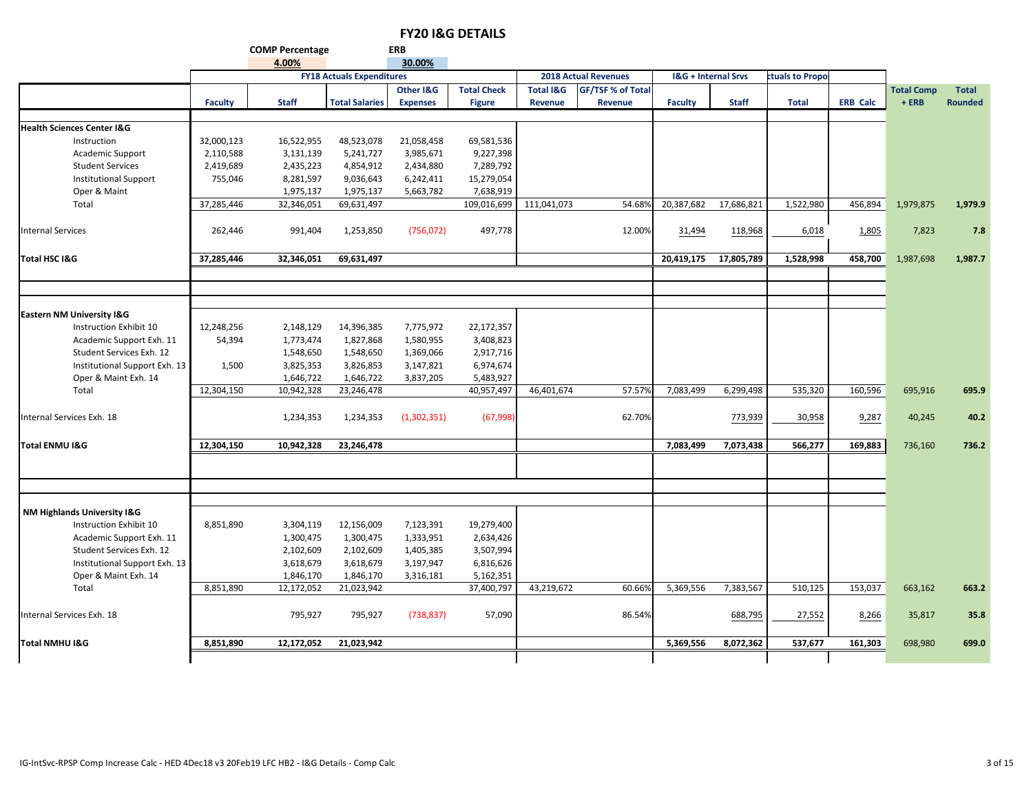**COMP Percentage ERB 4.00%**

|                                       | 4.00%<br>30.00% |              |                                  |                 |                    |                      |                             |                                |              |                 |                 |                   |                |
|---------------------------------------|-----------------|--------------|----------------------------------|-----------------|--------------------|----------------------|-----------------------------|--------------------------------|--------------|-----------------|-----------------|-------------------|----------------|
|                                       |                 |              | <b>FY18 Actuals Expenditures</b> |                 |                    |                      | <b>2018 Actual Revenues</b> | <b>I&amp;G + Internal Srvs</b> |              | ctuals to Propo |                 |                   |                |
|                                       |                 |              |                                  | Other I&G       | <b>Total Check</b> | <b>Total I&amp;G</b> | <b>GF/TSF % of Total</b>    |                                |              |                 |                 | <b>Total Comp</b> | <b>Total</b>   |
|                                       | <b>Faculty</b>  | <b>Staff</b> | <b>Total Salaries</b>            | <b>Expenses</b> | <b>Figure</b>      | Revenue              | Revenue                     | <b>Faculty</b>                 | <b>Staff</b> | <b>Total</b>    | <b>ERB Calc</b> | $+ERB$            | <b>Rounded</b> |
|                                       |                 |              |                                  |                 |                    |                      |                             |                                |              |                 |                 |                   |                |
| <b>Health Sciences Center I&amp;G</b> |                 |              |                                  |                 |                    |                      |                             |                                |              |                 |                 |                   |                |
| Instruction                           | 32,000,123      | 16,522,955   | 48,523,078                       | 21,058,458      | 69,581,536         |                      |                             |                                |              |                 |                 |                   |                |
| Academic Support                      | 2,110,588       | 3,131,139    | 5,241,727                        | 3,985,671       | 9,227,398          |                      |                             |                                |              |                 |                 |                   |                |
| <b>Student Services</b>               | 2,419,689       | 2,435,223    | 4,854,912                        | 2,434,880       | 7,289,792          |                      |                             |                                |              |                 |                 |                   |                |
| <b>Institutional Support</b>          | 755,046         | 8,281,597    | 9,036,643                        | 6,242,411       | 15,279,054         |                      |                             |                                |              |                 |                 |                   |                |
| Oper & Maint                          |                 | 1,975,137    | 1,975,137                        | 5,663,782       | 7,638,919          |                      |                             |                                |              |                 |                 |                   |                |
| Total                                 | 37,285,446      | 32,346,051   | 69,631,497                       |                 | 109,016,699        | 111,041,073          | 54.689                      | 20,387,682                     | 17,686,821   | 1,522,980       | 456,894         | 1,979,875         | 1,979.9        |
|                                       |                 |              |                                  |                 |                    |                      |                             |                                |              |                 |                 |                   |                |
| <b>Internal Services</b>              | 262,446         | 991,404      | 1,253,850                        | (756, 072)      | 497,778            |                      | 12.00%                      | 31,494                         | 118,968      | 6,018           | 1,805           | 7,823             | 7.8            |
|                                       |                 |              |                                  |                 |                    |                      |                             |                                |              |                 |                 |                   |                |
| Total HSC I&G                         | 37,285,446      | 32,346,051   | 69,631,497                       |                 |                    |                      |                             | 20,419,175                     | 17,805,789   | 1,528,998       | 458,700         | 1,987,698         | 1,987.7        |
|                                       |                 |              |                                  |                 |                    |                      |                             |                                |              |                 |                 |                   |                |
|                                       |                 |              |                                  |                 |                    |                      |                             |                                |              |                 |                 |                   |                |
|                                       |                 |              |                                  |                 |                    |                      |                             |                                |              |                 |                 |                   |                |
| Eastern NM University I&G             |                 |              |                                  |                 |                    |                      |                             |                                |              |                 |                 |                   |                |
| Instruction Exhibit 10                | 12,248,256      | 2,148,129    | 14,396,385                       | 7,775,972       | 22,172,357         |                      |                             |                                |              |                 |                 |                   |                |
| Academic Support Exh. 11              | 54,394          | 1,773,474    | 1,827,868                        | 1,580,955       | 3,408,823          |                      |                             |                                |              |                 |                 |                   |                |
| Student Services Exh. 12              |                 | 1,548,650    | 1,548,650                        | 1,369,066       | 2,917,716          |                      |                             |                                |              |                 |                 |                   |                |
| Institutional Support Exh. 13         | 1,500           | 3,825,353    | 3,826,853                        | 3,147,821       | 6,974,674          |                      |                             |                                |              |                 |                 |                   |                |
| Oper & Maint Exh. 14                  |                 | 1,646,722    | 1,646,722                        | 3,837,205       | 5,483,927          |                      |                             |                                |              |                 |                 |                   |                |
| Total                                 | 12,304,150      | 10,942,328   | 23,246,478                       |                 | 40,957,497         | 46,401,674           | 57.57%                      | 7,083,499                      | 6,299,498    | 535,320         | 160,596         | 695,916           | 695.9          |
|                                       |                 |              |                                  |                 |                    |                      |                             |                                |              |                 |                 |                   |                |
| Internal Services Exh. 18             |                 | 1,234,353    | 1,234,353                        | (1,302,351)     | (67, 998)          |                      | 62.70%                      |                                | 773,939      | 30,958          | 9,287           | 40,245            | 40.2           |
|                                       |                 |              |                                  |                 |                    |                      |                             |                                |              |                 |                 |                   |                |
| <b>Total ENMU I&amp;G</b>             | 12,304,150      | 10,942,328   | 23,246,478                       |                 |                    |                      |                             | 7,083,499                      | 7,073,438    | 566,277         | 169,883         | 736,160           | 736.2          |
|                                       |                 |              |                                  |                 |                    |                      |                             |                                |              |                 |                 |                   |                |
|                                       |                 |              |                                  |                 |                    |                      |                             |                                |              |                 |                 |                   |                |
|                                       |                 |              |                                  |                 |                    |                      |                             |                                |              |                 |                 |                   |                |
|                                       |                 |              |                                  |                 |                    |                      |                             |                                |              |                 |                 |                   |                |
| NM Highlands University I&G           |                 |              |                                  |                 |                    |                      |                             |                                |              |                 |                 |                   |                |
| Instruction Exhibit 10                | 8,851,890       | 3,304,119    | 12,156,009                       | 7,123,391       | 19,279,400         |                      |                             |                                |              |                 |                 |                   |                |
| Academic Support Exh. 11              |                 | 1,300,475    | 1,300,475                        | 1,333,951       | 2,634,426          |                      |                             |                                |              |                 |                 |                   |                |
| Student Services Exh. 12              |                 | 2,102,609    | 2,102,609                        | 1,405,385       | 3,507,994          |                      |                             |                                |              |                 |                 |                   |                |
| Institutional Support Exh. 13         |                 | 3,618,679    | 3,618,679                        | 3,197,947       | 6,816,626          |                      |                             |                                |              |                 |                 |                   |                |
| Oper & Maint Exh. 14                  |                 | 1,846,170    | 1,846,170                        | 3,316,181       | 5,162,351          |                      |                             |                                |              |                 |                 |                   |                |
| Total                                 | 8,851,890       | 12,172,052   | 21,023,942                       |                 | 37,400,797         | 43,219,672           | 60.669                      | 5,369,556                      | 7,383,567    | 510,125         | 153,037         | 663,162           | 663.2          |
|                                       |                 |              |                                  |                 |                    |                      |                             |                                |              |                 |                 |                   |                |
| Internal Services Exh. 18             |                 | 795,927      | 795,927                          | (738, 837)      | 57,090             |                      | 86.54%                      |                                | 688,795      | 27,552          | 8,266           | 35,817            | 35.8           |
|                                       |                 |              |                                  |                 |                    |                      |                             |                                |              |                 |                 |                   |                |
| Total NMHU I&G                        | 8,851,890       | 12,172,052   | 21,023,942                       |                 |                    |                      |                             | 5,369,556                      | 8,072,362    | 537,677         | 161,303         | 698,980           | 699.0          |
|                                       |                 |              |                                  |                 |                    |                      |                             |                                |              |                 |                 |                   |                |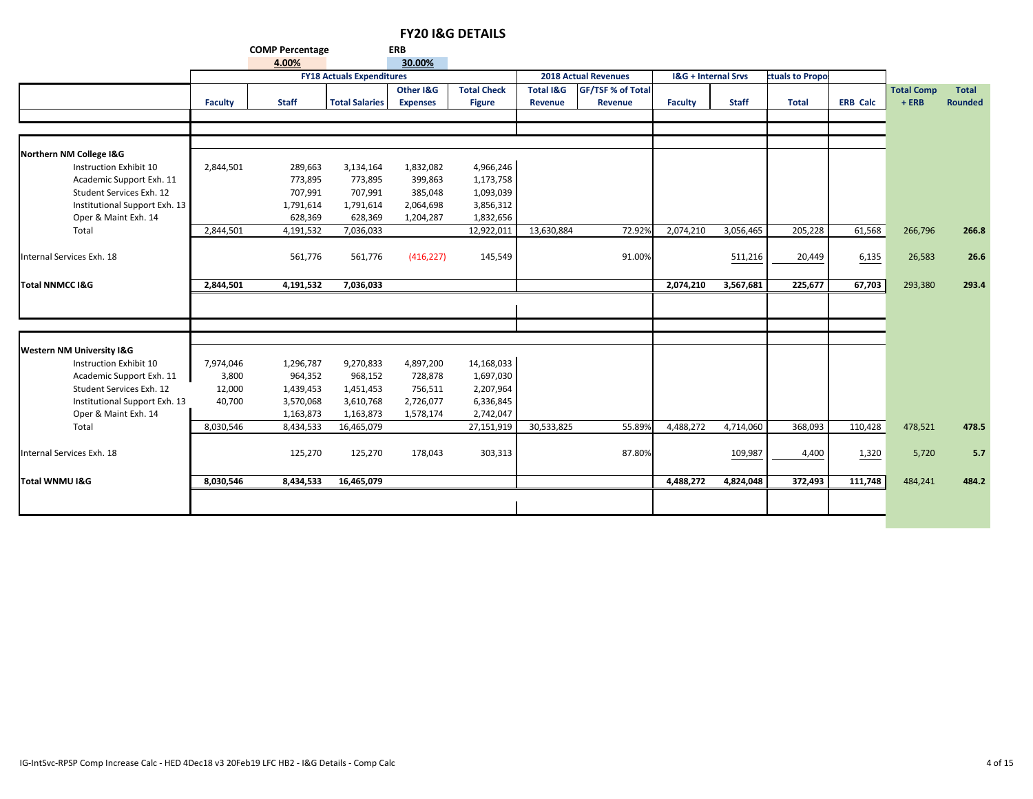**COMP Percentage ERB**

|                                      | 4.00%<br>30.00% |              |                                  |                 |                    |                      |                             |                                |              |                 |                 |                   |                |
|--------------------------------------|-----------------|--------------|----------------------------------|-----------------|--------------------|----------------------|-----------------------------|--------------------------------|--------------|-----------------|-----------------|-------------------|----------------|
|                                      |                 |              | <b>FY18 Actuals Expenditures</b> |                 |                    |                      | <b>2018 Actual Revenues</b> | <b>I&amp;G + Internal Srvs</b> |              | ctuals to Propo |                 |                   |                |
|                                      |                 |              |                                  | Other I&G       | <b>Total Check</b> | <b>Total I&amp;G</b> | <b>GF/TSF % of Total</b>    |                                |              |                 |                 | <b>Total Comp</b> | <b>Total</b>   |
|                                      | Faculty         | <b>Staff</b> | <b>Total Salaries</b>            | <b>Expenses</b> | <b>Figure</b>      | Revenue              | Revenue                     | Faculty                        | <b>Staff</b> | <b>Total</b>    | <b>ERB Calc</b> | $+ERB$            | <b>Rounded</b> |
|                                      |                 |              |                                  |                 |                    |                      |                             |                                |              |                 |                 |                   |                |
|                                      |                 |              |                                  |                 |                    |                      |                             |                                |              |                 |                 |                   |                |
|                                      |                 |              |                                  |                 |                    |                      |                             |                                |              |                 |                 |                   |                |
| Northern NM College I&G              |                 |              |                                  |                 |                    |                      |                             |                                |              |                 |                 |                   |                |
| Instruction Exhibit 10               | 2,844,501       | 289,663      | 3,134,164                        | 1,832,082       | 4,966,246          |                      |                             |                                |              |                 |                 |                   |                |
| Academic Support Exh. 11             |                 | 773,895      | 773,895                          | 399,863         | 1,173,758          |                      |                             |                                |              |                 |                 |                   |                |
| Student Services Exh. 12             |                 | 707,991      | 707,991                          | 385,048         | 1,093,039          |                      |                             |                                |              |                 |                 |                   |                |
| Institutional Support Exh. 13        |                 | 1,791,614    | 1,791,614                        | 2,064,698       | 3,856,312          |                      |                             |                                |              |                 |                 |                   |                |
| Oper & Maint Exh. 14                 |                 | 628,369      | 628,369                          | 1,204,287       | 1,832,656          |                      |                             |                                |              |                 |                 |                   |                |
| Total                                | 2,844,501       | 4,191,532    | 7,036,033                        |                 | 12,922,011         | 13,630,884           | 72.92%                      | 2,074,210                      | 3,056,465    | 205,228         | 61,568          | 266,796           | 266.8          |
|                                      |                 |              |                                  |                 |                    |                      |                             |                                |              |                 |                 |                   |                |
| Internal Services Exh. 18            |                 | 561,776      | 561,776                          | (416, 227)      | 145,549            |                      | 91.00%                      |                                | 511,216      | 20,449          | 6,135           | 26,583            | 26.6           |
|                                      |                 |              |                                  |                 |                    |                      |                             |                                |              |                 |                 |                   |                |
| <b>Total NNMCC I&amp;G</b>           | 2,844,501       | 4,191,532    | 7,036,033                        |                 |                    |                      |                             | 2,074,210                      | 3,567,681    | 225,677         | 67,703          | 293,380           | 293.4          |
|                                      |                 |              |                                  |                 |                    |                      |                             |                                |              |                 |                 |                   |                |
|                                      |                 |              |                                  |                 |                    |                      |                             |                                |              |                 |                 |                   |                |
|                                      |                 |              |                                  |                 |                    |                      |                             |                                |              |                 |                 |                   |                |
|                                      |                 |              |                                  |                 |                    |                      |                             |                                |              |                 |                 |                   |                |
| <b>Western NM University I&amp;G</b> |                 |              |                                  |                 |                    |                      |                             |                                |              |                 |                 |                   |                |
| Instruction Exhibit 10               | 7,974,046       | 1,296,787    | 9,270,833                        | 4,897,200       | 14,168,033         |                      |                             |                                |              |                 |                 |                   |                |
| Academic Support Exh. 11             | 3,800           | 964,352      | 968,152                          | 728,878         | 1,697,030          |                      |                             |                                |              |                 |                 |                   |                |
| Student Services Exh. 12             | 12,000          | 1,439,453    | 1,451,453                        | 756,511         | 2,207,964          |                      |                             |                                |              |                 |                 |                   |                |
| Institutional Support Exh. 13        | 40,700          | 3,570,068    | 3,610,768                        | 2,726,077       | 6,336,845          |                      |                             |                                |              |                 |                 |                   |                |
| Oper & Maint Exh. 14                 |                 | 1,163,873    | 1,163,873                        | 1,578,174       | 2,742,047          |                      |                             |                                |              |                 |                 |                   |                |
| Total                                | 8,030,546       | 8,434,533    | 16,465,079                       |                 | 27,151,919         | 30,533,825           | 55.89%                      | 4,488,272                      | 4,714,060    | 368,093         | 110,428         | 478,521           | 478.5          |
|                                      |                 |              |                                  |                 |                    |                      |                             |                                |              |                 |                 |                   |                |
| Internal Services Exh. 18            |                 | 125,270      | 125,270                          | 178,043         | 303,313            |                      | 87.80%                      |                                | 109,987      | 4,400           | 1,320           | 5,720             | 5.7            |
|                                      |                 |              |                                  |                 |                    |                      |                             |                                |              |                 |                 |                   |                |
| <b>Total WNMU I&amp;G</b>            | 8,030,546       | 8,434,533    | 16,465,079                       |                 |                    |                      |                             | 4,488,272                      | 4,824,048    | 372,493         | 111,748         | 484,241           | 484.2          |
|                                      |                 |              |                                  |                 |                    |                      |                             |                                |              |                 |                 |                   |                |
|                                      |                 |              |                                  |                 |                    |                      |                             |                                |              |                 |                 |                   |                |
|                                      |                 |              |                                  |                 |                    |                      |                             |                                |              |                 |                 |                   |                |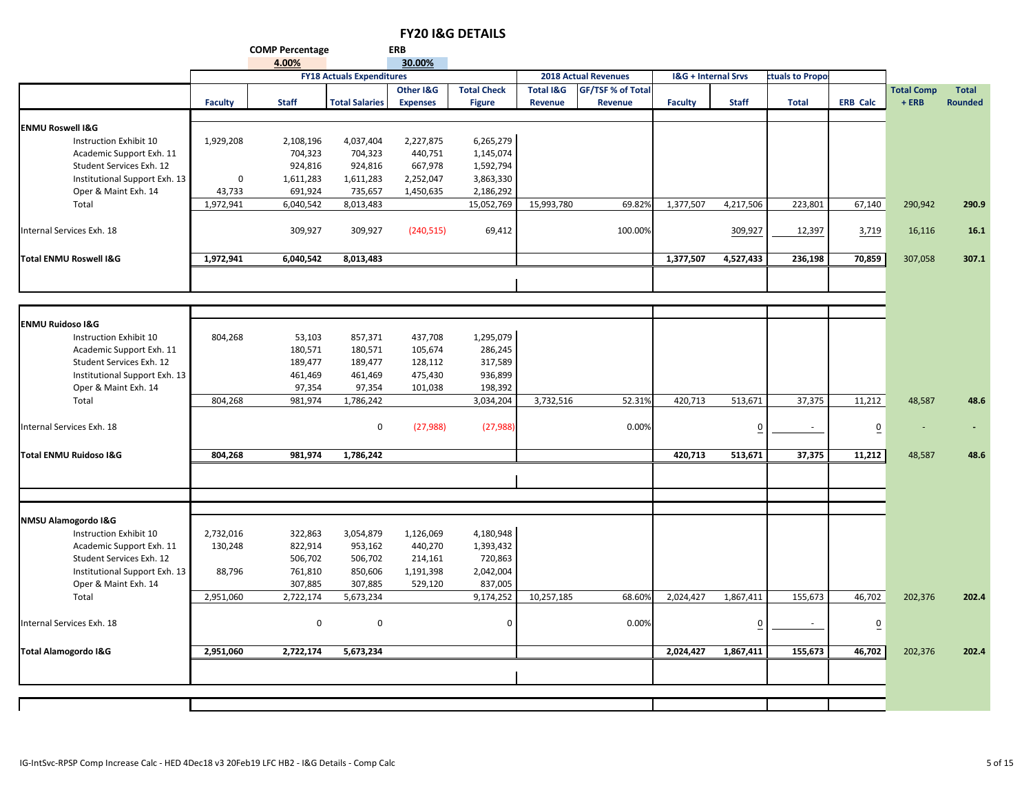#### **COMP Percentage ERB 4.00%**

|                                   |                | 4.00%        |                                  | 30.00%          |                    |                      |                             |                                |                |                 |                         |                   |                |
|-----------------------------------|----------------|--------------|----------------------------------|-----------------|--------------------|----------------------|-----------------------------|--------------------------------|----------------|-----------------|-------------------------|-------------------|----------------|
|                                   |                |              | <b>FY18 Actuals Expenditures</b> |                 |                    |                      | <b>2018 Actual Revenues</b> | <b>I&amp;G + Internal Srvs</b> |                | ctuals to Propo |                         |                   |                |
|                                   |                |              |                                  | Other I&G       | <b>Total Check</b> | <b>Total I&amp;G</b> | GF/TSF % of Total           |                                |                |                 |                         | <b>Total Comp</b> | <b>Total</b>   |
|                                   | <b>Faculty</b> | <b>Staff</b> | <b>Total Salaries</b>            | <b>Expenses</b> | <b>Figure</b>      | Revenue              | Revenue                     | <b>Faculty</b>                 | <b>Staff</b>   | <b>Total</b>    | <b>ERB Calc</b>         | $+ERB$            | <b>Rounded</b> |
|                                   |                |              |                                  |                 |                    |                      |                             |                                |                |                 |                         |                   |                |
| <b>ENMU Roswell I&amp;G</b>       |                |              |                                  |                 |                    |                      |                             |                                |                |                 |                         |                   |                |
| Instruction Exhibit 10            | 1,929,208      | 2,108,196    | 4,037,404                        | 2,227,875       | 6,265,279          |                      |                             |                                |                |                 |                         |                   |                |
| Academic Support Exh. 11          |                | 704,323      | 704,323                          | 440,751         | 1,145,074          |                      |                             |                                |                |                 |                         |                   |                |
| Student Services Exh. 12          |                | 924,816      | 924,816                          | 667,978         | 1,592,794          |                      |                             |                                |                |                 |                         |                   |                |
| Institutional Support Exh. 13     | $\mathbf 0$    | 1,611,283    | 1,611,283                        | 2,252,047       | 3,863,330          |                      |                             |                                |                |                 |                         |                   |                |
| Oper & Maint Exh. 14              | 43,733         | 691,924      | 735,657                          | 1,450,635       | 2,186,292          |                      |                             |                                |                |                 |                         |                   |                |
| Total                             | 1,972,941      | 6,040,542    | 8,013,483                        |                 | 15,052,769         | 15,993,780           | 69.82%                      | 1,377,507                      | 4,217,506      | 223,801         | 67,140                  | 290,942           | 290.9          |
| Internal Services Exh. 18         |                | 309,927      | 309,927                          | (240, 515)      | 69,412             |                      | 100.00%                     |                                | 309,927        | 12,397          | 3,719                   | 16,116            | 16.1           |
|                                   |                |              |                                  |                 |                    |                      |                             |                                |                |                 |                         |                   |                |
| <b>Total ENMU Roswell I&amp;G</b> | 1,972,941      | 6,040,542    | 8,013,483                        |                 |                    |                      |                             | 1,377,507                      | 4,527,433      | 236,198         | 70,859                  | 307,058           | 307.1          |
|                                   |                |              |                                  |                 |                    |                      |                             |                                |                |                 |                         |                   |                |
|                                   |                |              |                                  |                 |                    |                      |                             |                                |                |                 |                         |                   |                |
| <b>ENMU Ruidoso I&amp;G</b>       |                |              |                                  |                 |                    |                      |                             |                                |                |                 |                         |                   |                |
| Instruction Exhibit 10            | 804,268        | 53,103       | 857,371                          | 437,708         | 1,295,079          |                      |                             |                                |                |                 |                         |                   |                |
| Academic Support Exh. 11          |                | 180,571      | 180,571                          | 105,674         | 286,245            |                      |                             |                                |                |                 |                         |                   |                |
| Student Services Exh. 12          |                | 189,477      | 189,477                          | 128,112         | 317,589            |                      |                             |                                |                |                 |                         |                   |                |
| Institutional Support Exh. 13     |                | 461,469      | 461,469                          | 475,430         | 936,899            |                      |                             |                                |                |                 |                         |                   |                |
| Oper & Maint Exh. 14              |                | 97,354       | 97,354                           | 101,038         | 198,392            |                      |                             |                                |                |                 |                         |                   |                |
| Total                             | 804,268        | 981,974      | 1,786,242                        |                 | 3,034,204          | 3,732,516            | 52.319                      | 420,713                        | 513,671        | 37,375          | 11,212                  | 48,587            | 48.6           |
| Internal Services Exh. 18         |                |              | 0                                | (27, 988)       | (27, 988)          |                      | 0.00%                       |                                | $\overline{0}$ |                 | $\overline{\mathbf{0}}$ |                   |                |
| <b>Total ENMU Ruidoso I&amp;G</b> | 804,268        | 981,974      | 1,786,242                        |                 |                    |                      |                             | 420,713                        | 513,671        | 37,375          | 11,212                  | 48,587            | 48.6           |
|                                   |                |              |                                  |                 |                    |                      |                             |                                |                |                 |                         |                   |                |
|                                   |                |              |                                  |                 |                    |                      |                             |                                |                |                 |                         |                   |                |
| NMSU Alamogordo I&G               |                |              |                                  |                 |                    |                      |                             |                                |                |                 |                         |                   |                |
| Instruction Exhibit 10            | 2,732,016      | 322,863      | 3,054,879                        | 1,126,069       | 4,180,948          |                      |                             |                                |                |                 |                         |                   |                |
| Academic Support Exh. 11          | 130,248        | 822,914      | 953,162                          | 440,270         | 1,393,432          |                      |                             |                                |                |                 |                         |                   |                |
| Student Services Exh. 12          |                | 506,702      | 506,702                          | 214,161         | 720,863            |                      |                             |                                |                |                 |                         |                   |                |
| Institutional Support Exh. 13     | 88,796         | 761,810      | 850,606                          | 1,191,398       | 2,042,004          |                      |                             |                                |                |                 |                         |                   |                |
| Oper & Maint Exh. 14              |                | 307,885      | 307,885                          | 529,120         | 837,005            |                      |                             |                                |                |                 |                         |                   |                |
| Total                             | 2,951,060      | 2,722,174    | 5,673,234                        |                 | 9,174,252          | 10,257,185           | 68.609                      | 2,024,427                      | 1,867,411      | 155,673         | 46,702                  | 202,376           | 202.4          |
| Internal Services Exh. 18         |                | $\mathbf 0$  | $\pmb{0}$                        |                 | $\Omega$           |                      | 0.00%                       |                                | $\overline{0}$ | ×.              | $\overline{0}$          |                   |                |
|                                   |                |              |                                  |                 |                    |                      |                             |                                |                |                 |                         |                   |                |
| <b>Total Alamogordo I&amp;G</b>   | 2,951,060      | 2,722,174    | 5,673,234                        |                 |                    |                      |                             | 2,024,427                      | 1,867,411      | 155,673         | 46,702                  | 202,376           | 202.4          |
|                                   |                |              |                                  |                 |                    |                      |                             |                                |                |                 |                         |                   |                |
|                                   |                |              |                                  |                 |                    |                      |                             |                                |                |                 |                         |                   |                |
|                                   |                |              |                                  |                 |                    |                      |                             |                                |                |                 |                         |                   |                |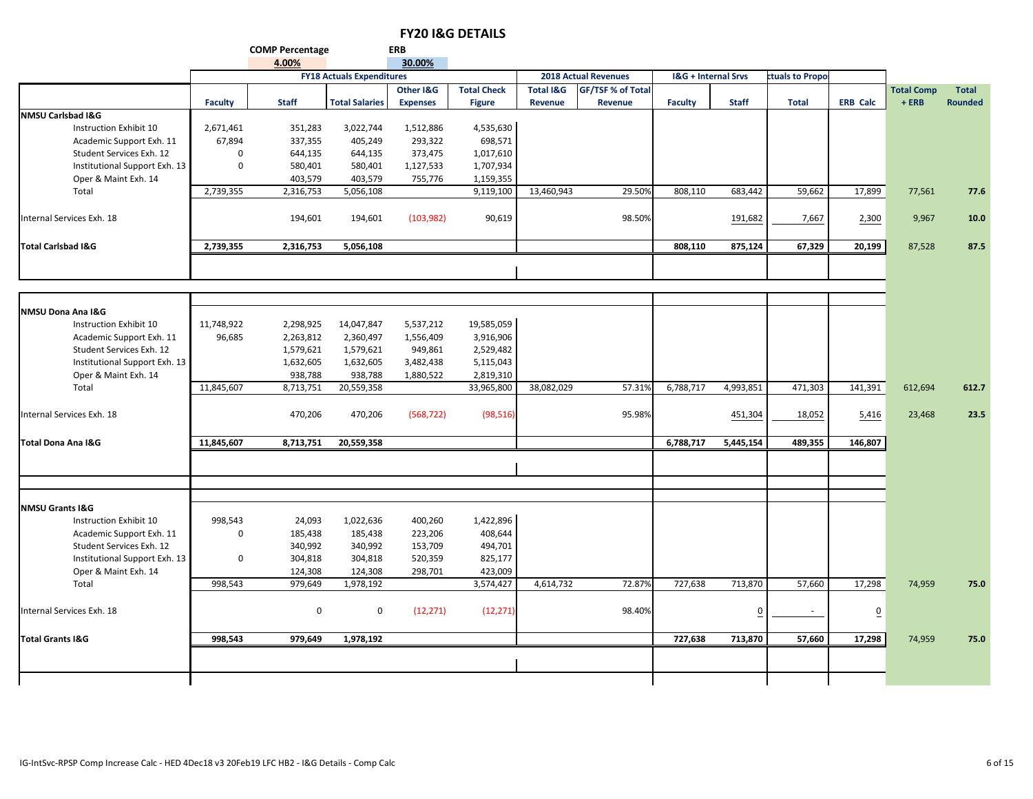**COMP Percentage ERB**

|                               |                | 4.00%        |                                  | 30.00%          |                    |                      |                             |                |                                |                 |                 |                   |                |
|-------------------------------|----------------|--------------|----------------------------------|-----------------|--------------------|----------------------|-----------------------------|----------------|--------------------------------|-----------------|-----------------|-------------------|----------------|
|                               |                |              | <b>FY18 Actuals Expenditures</b> |                 |                    |                      | <b>2018 Actual Revenues</b> |                | <b>I&amp;G + Internal Srvs</b> | ctuals to Propo |                 |                   |                |
|                               |                |              |                                  | Other I&G       | <b>Total Check</b> | <b>Total I&amp;G</b> | <b>GF/TSF % of Total</b>    |                |                                |                 |                 | <b>Total Comp</b> | <b>Total</b>   |
|                               | <b>Faculty</b> | <b>Staff</b> | <b>Total Salaries</b>            | <b>Expenses</b> | <b>Figure</b>      | Revenue              | <b>Revenue</b>              | <b>Faculty</b> | <b>Staff</b>                   | <b>Total</b>    | <b>ERB Calc</b> | $+ERB$            | <b>Rounded</b> |
| <b>NMSU Carlsbad I&amp;G</b>  |                |              |                                  |                 |                    |                      |                             |                |                                |                 |                 |                   |                |
| Instruction Exhibit 10        | 2,671,461      | 351,283      | 3,022,744                        | 1,512,886       | 4,535,630          |                      |                             |                |                                |                 |                 |                   |                |
| Academic Support Exh. 11      | 67,894         | 337,355      | 405,249                          | 293,322         | 698,571            |                      |                             |                |                                |                 |                 |                   |                |
| Student Services Exh. 12      | $\mathbf 0$    | 644,135      | 644,135                          | 373,475         | 1,017,610          |                      |                             |                |                                |                 |                 |                   |                |
| Institutional Support Exh. 13 | $\mathbf 0$    | 580,401      | 580,401                          | 1,127,533       | 1,707,934          |                      |                             |                |                                |                 |                 |                   |                |
| Oper & Maint Exh. 14          |                | 403,579      | 403,579                          | 755,776         | 1,159,355          |                      |                             |                |                                |                 |                 |                   |                |
| Total                         | 2,739,355      | 2,316,753    | 5,056,108                        |                 | 9,119,100          | 13,460,943           | 29.50%                      | 808,110        | 683,442                        | 59,662          | 17,899          | 77,561            | 77.6           |
|                               |                |              |                                  |                 |                    |                      |                             |                |                                |                 |                 |                   |                |
| Internal Services Exh. 18     |                | 194,601      | 194,601                          | (103, 982)      | 90,619             |                      | 98.50%                      |                | 191,682                        | 7,667           | 2,300           | 9,967             | 10.0           |
|                               |                |              |                                  |                 |                    |                      |                             |                |                                |                 |                 |                   |                |
| <b>Total Carlsbad I&amp;G</b> | 2,739,355      | 2,316,753    | 5,056,108                        |                 |                    |                      |                             | 808,110        | 875,124                        | 67,329          | 20,199          | 87,528            | 87.5           |
|                               |                |              |                                  |                 |                    |                      |                             |                |                                |                 |                 |                   |                |
|                               |                |              |                                  |                 |                    |                      |                             |                |                                |                 |                 |                   |                |
|                               |                |              |                                  |                 |                    |                      |                             |                |                                |                 |                 |                   |                |
| NMSU Dona Ana I&G             |                |              |                                  |                 |                    |                      |                             |                |                                |                 |                 |                   |                |
| Instruction Exhibit 10        | 11,748,922     | 2,298,925    | 14,047,847                       | 5,537,212       | 19,585,059         |                      |                             |                |                                |                 |                 |                   |                |
| Academic Support Exh. 11      | 96,685         | 2,263,812    | 2,360,497                        | 1,556,409       | 3,916,906          |                      |                             |                |                                |                 |                 |                   |                |
| Student Services Exh. 12      |                | 1,579,621    | 1,579,621                        | 949,861         | 2,529,482          |                      |                             |                |                                |                 |                 |                   |                |
| Institutional Support Exh. 13 |                | 1,632,605    | 1,632,605                        | 3,482,438       | 5,115,043          |                      |                             |                |                                |                 |                 |                   |                |
| Oper & Maint Exh. 14          |                | 938,788      | 938,788                          | 1,880,522       | 2,819,310          |                      |                             |                |                                |                 |                 |                   |                |
| Total                         | 11,845,607     | 8,713,751    | 20,559,358                       |                 | 33,965,800         | 38,082,029           | 57.31%                      | 6,788,717      | 4,993,851                      | 471,303         | 141,391         | 612,694           | 612.7          |
|                               |                |              |                                  |                 |                    |                      |                             |                |                                |                 |                 |                   |                |
| Internal Services Exh. 18     |                | 470,206      | 470,206                          | (568, 722)      | (98, 516)          |                      | 95.98%                      |                | 451,304                        | 18,052          | 5,416           | 23,468            | 23.5           |
|                               |                |              |                                  |                 |                    |                      |                             |                |                                |                 |                 |                   |                |
| Total Dona Ana I&G            | 11,845,607     | 8,713,751    | 20,559,358                       |                 |                    |                      |                             | 6,788,717      | 5,445,154                      | 489,355         | 146,807         |                   |                |
|                               |                |              |                                  |                 |                    |                      |                             |                |                                |                 |                 |                   |                |
|                               |                |              |                                  |                 |                    |                      |                             |                |                                |                 |                 |                   |                |
|                               |                |              |                                  |                 |                    |                      |                             |                |                                |                 |                 |                   |                |
| <b>NMSU Grants I&amp;G</b>    |                |              |                                  |                 |                    |                      |                             |                |                                |                 |                 |                   |                |
| Instruction Exhibit 10        | 998,543        | 24,093       | 1,022,636                        | 400,260         | 1,422,896          |                      |                             |                |                                |                 |                 |                   |                |
| Academic Support Exh. 11      | 0              | 185,438      | 185,438                          | 223,206         | 408,644            |                      |                             |                |                                |                 |                 |                   |                |
| Student Services Exh. 12      |                | 340,992      | 340,992                          | 153,709         | 494,701            |                      |                             |                |                                |                 |                 |                   |                |
| Institutional Support Exh. 13 | $\mathbf 0$    | 304,818      | 304,818                          | 520,359         | 825,177            |                      |                             |                |                                |                 |                 |                   |                |
| Oper & Maint Exh. 14          |                | 124,308      | 124,308                          | 298,701         | 423,009            |                      |                             |                |                                |                 |                 |                   |                |
| Total                         | 998,543        | 979,649      | 1,978,192                        |                 | 3,574,427          | 4,614,732            | 72.87%                      | 727,638        | 713,870                        | 57,660          | 17,298          | 74,959            | 75.0           |
| Internal Services Exh. 18     |                | 0            | 0                                | (12, 271)       | (12, 271)          |                      | 98.40%                      |                | $\overline{0}$                 | ×.              | $\overline{0}$  |                   |                |
|                               |                |              |                                  |                 |                    |                      |                             |                |                                |                 |                 |                   |                |
| <b>Total Grants I&amp;G</b>   | 998,543        | 979,649      | 1,978,192                        |                 |                    |                      |                             | 727,638        | 713,870                        | 57,660          | 17,298          | 74,959            | 75.0           |
|                               |                |              |                                  |                 |                    |                      |                             |                |                                |                 |                 |                   |                |
|                               |                |              |                                  |                 |                    |                      |                             |                |                                |                 |                 |                   |                |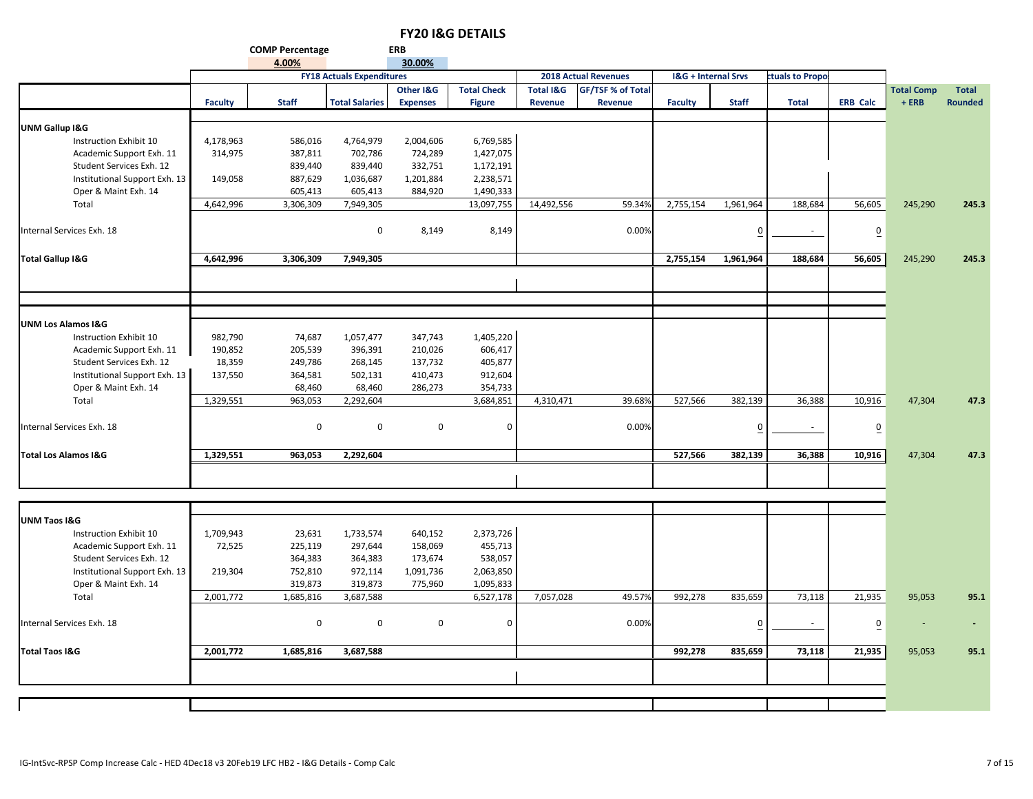|                               |                | <b>COMP Percentage</b> |                                  | <b>ERB</b>      |                    |                      |                             |                                |              |                  |                 |                   |                |
|-------------------------------|----------------|------------------------|----------------------------------|-----------------|--------------------|----------------------|-----------------------------|--------------------------------|--------------|------------------|-----------------|-------------------|----------------|
|                               |                | 4.00%                  |                                  | 30.00%          |                    |                      |                             |                                |              |                  |                 |                   |                |
|                               |                |                        | <b>FY18 Actuals Expenditures</b> |                 |                    |                      | <b>2018 Actual Revenues</b> | <b>I&amp;G + Internal Srvs</b> |              | ctuals to Propol |                 |                   |                |
|                               |                |                        |                                  | Other I&G       | <b>Total Check</b> | <b>Total I&amp;G</b> | <b>GF/TSF % of Total</b>    |                                |              |                  |                 | <b>Total Comp</b> | <b>Total</b>   |
|                               | <b>Faculty</b> | <b>Staff</b>           | <b>Total Salaries</b>            | <b>Expenses</b> | <b>Figure</b>      | Revenue              | Revenue                     | <b>Faculty</b>                 | <b>Staff</b> | <b>Total</b>     | <b>ERB Calc</b> | $+ERB$            | <b>Rounded</b> |
|                               |                |                        |                                  |                 |                    |                      |                             |                                |              |                  |                 |                   |                |
| <b>UNM Gallup I&amp;G</b>     |                |                        |                                  |                 |                    |                      |                             |                                |              |                  |                 |                   |                |
| Instruction Exhibit 10        | 4,178,963      | 586,016                | 4,764,979                        | 2,004,606       | 6,769,585          |                      |                             |                                |              |                  |                 |                   |                |
| Academic Support Exh. 11      | 314,975        | 387,811                | 702,786                          | 724,289         | 1,427,075          |                      |                             |                                |              |                  |                 |                   |                |
| Student Services Exh. 12      |                | 839,440                | 839,440                          | 332,751         | 1,172,191          |                      |                             |                                |              |                  |                 |                   |                |
| Institutional Support Exh. 13 | 149,058        | 887,629                | 1,036,687                        | 1,201,884       | 2,238,571          |                      |                             |                                |              |                  |                 |                   |                |
| Oper & Maint Exh. 14          |                | 605,413                | 605,413                          | 884,920         | 1,490,333          |                      |                             |                                |              |                  |                 |                   |                |
| Total                         | 4,642,996      | 3,306,309              | 7,949,305                        |                 | 13,097,755         | 14,492,556           | 59.34%                      | 2,755,154                      | 1,961,964    | 188,684          | 56,605          | 245,290           | 245.3          |
|                               |                |                        |                                  |                 |                    |                      |                             |                                |              |                  |                 |                   |                |
| Internal Services Exh. 18     |                |                        | $\mathbf 0$                      | 8,149           | 8,149              |                      | 0.00%                       |                                |              |                  | $\overline{0}$  |                   |                |
|                               |                |                        |                                  |                 |                    |                      |                             |                                |              |                  |                 |                   |                |
| <b>Total Gallup I&amp;G</b>   | 4,642,996      | 3,306,309              | 7,949,305                        |                 |                    |                      |                             | 2,755,154                      | 1,961,964    | 188,684          | 56,605          | 245,290           | 245.3          |
|                               |                |                        |                                  |                 |                    |                      |                             |                                |              |                  |                 |                   |                |
|                               |                |                        |                                  |                 |                    |                      |                             |                                |              |                  |                 |                   |                |

| Total Gallup I&G                | 4,642,996 | 3,306,309 | 7,949,305    |         |           |           |        | 2,755,154 | 1,961,964 | 188,684 | 56,605         | 245,290 | 245.3 |
|---------------------------------|-----------|-----------|--------------|---------|-----------|-----------|--------|-----------|-----------|---------|----------------|---------|-------|
|                                 |           |           |              |         |           |           |        |           |           |         |                |         |       |
|                                 |           |           |              |         |           |           |        |           |           |         |                |         |       |
| <b>UNM Los Alamos I&amp;G</b>   |           |           |              |         |           |           |        |           |           |         |                |         |       |
| Instruction Exhibit 10          | 982,790   | 74,687    | 1,057,477    | 347,743 | 1,405,220 |           |        |           |           |         |                |         |       |
| Academic Support Exh. 11        | 190,852   | 205,539   | 396,391      | 210,026 | 606,417   |           |        |           |           |         |                |         |       |
| Student Services Exh. 12        | 18,359    | 249,786   | 268,145      | 137,732 | 405,877   |           |        |           |           |         |                |         |       |
| Institutional Support Exh. 13   | 137,550   | 364,581   | 502,131      | 410,473 | 912,604   |           |        |           |           |         |                |         |       |
| Oper & Maint Exh. 14            |           | 68,460    | 68,460       | 286,273 | 354,733   |           |        |           |           |         |                |         |       |
| Total                           | 1,329,551 | 963,053   | 2,292,604    |         | 3,684,851 | 4,310,471 | 39.68% | 527,566   | 382,139   | 36,388  | 10,916         | 47,304  | 47.3  |
| Internal Services Exh. 18       |           | 0         | $\mathbf{0}$ | 0       |           |           | 0.00%  |           |           |         | $\overline{0}$ |         |       |
| <b>Total Los Alamos I&amp;G</b> | 1,329,551 | 963,053   | 2,292,604    |         |           |           |        | 527,566   | 382,139   | 36,388  | 10,916         | 47,304  | 47.3  |
|                                 |           |           |              |         |           |           |        |           |           |         |                |         |       |

| <b>UNM Taos I&amp;G</b>       |           |             |           |           |           |           |        |         |         |        |        |                |                          |
|-------------------------------|-----------|-------------|-----------|-----------|-----------|-----------|--------|---------|---------|--------|--------|----------------|--------------------------|
| Instruction Exhibit 10        | 1,709,943 | 23,631      | 1,733,574 | 640,152   | 2,373,726 |           |        |         |         |        |        |                |                          |
| Academic Support Exh. 11      | 72,525    | 225,119     | 297,644   | 158,069   | 455,713   |           |        |         |         |        |        |                |                          |
| Student Services Exh. 12      |           | 364,383     | 364,383   | 173,674   | 538,057   |           |        |         |         |        |        |                |                          |
| Institutional Support Exh. 13 | 219,304   | 752,810     | 972,114   | 1,091,736 | 2,063,850 |           |        |         |         |        |        |                |                          |
| Oper & Maint Exh. 14          |           | 319,873     | 319,873   | 775,960   | 1,095,833 |           |        |         |         |        |        |                |                          |
| Total                         | 2,001,772 | 1,685,816   | 3,687,588 |           | 6,527,178 | 7,057,028 | 49.57% | 992,278 | 835,659 | 73,118 | 21,935 | 95,053         | 95.1                     |
|                               |           |             |           |           |           |           |        |         |         |        |        |                |                          |
| Internal Services Exh. 18     |           | $\mathbf 0$ | 0         | 0         | $\Omega$  |           | 0.00%  |         |         |        | 0      | $\overline{a}$ | $\overline{\phantom{0}}$ |
|                               |           |             |           |           |           |           |        |         |         |        |        |                |                          |
| <b>Total Taos I&amp;G</b>     | 2,001,772 | 1,685,816   | 3,687,588 |           |           |           |        | 992,278 | 835,659 | 73,118 | 21,935 | 95,053         | 95.1                     |
|                               |           |             |           |           |           |           |        |         |         |        |        |                |                          |
|                               |           |             |           |           |           |           |        |         |         |        |        |                |                          |
|                               |           |             |           |           |           |           |        |         |         |        |        |                |                          |
|                               |           |             |           |           |           |           |        |         |         |        |        |                |                          |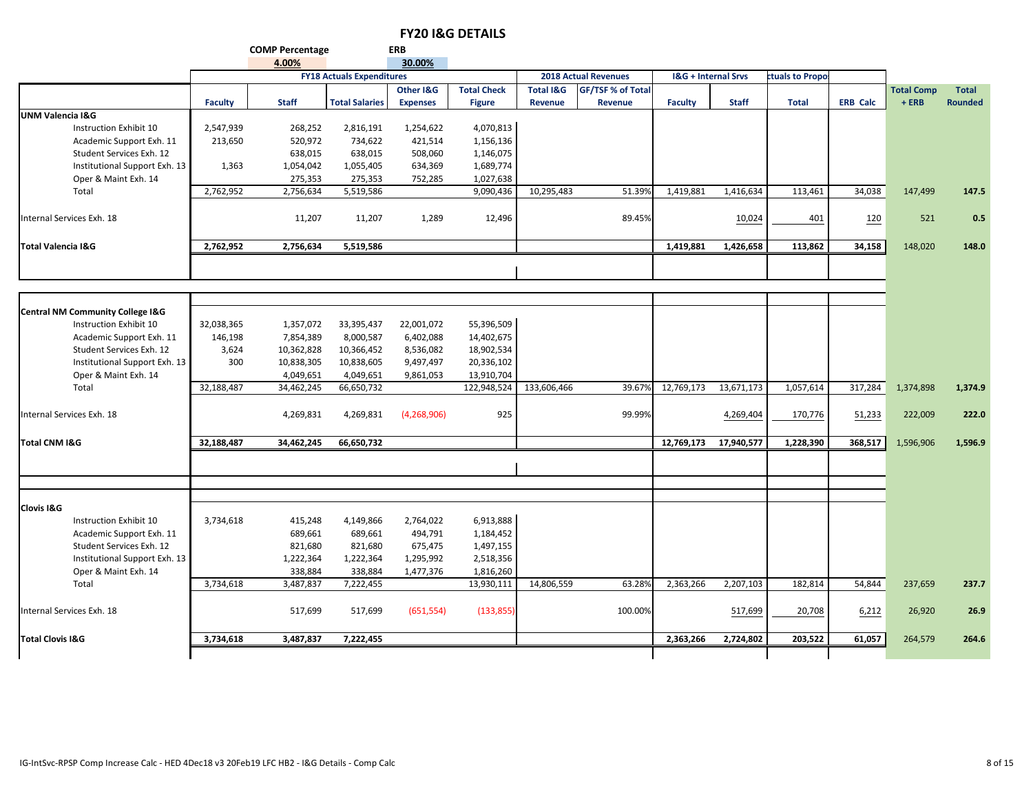**COMP Percentage ERB**

|                                             |                | 4.00%        |                                  | 30.00%          |                    |                      |                             |                |                                |                 |                 |                   |                |
|---------------------------------------------|----------------|--------------|----------------------------------|-----------------|--------------------|----------------------|-----------------------------|----------------|--------------------------------|-----------------|-----------------|-------------------|----------------|
|                                             |                |              | <b>FY18 Actuals Expenditures</b> |                 |                    |                      | <b>2018 Actual Revenues</b> |                | <b>I&amp;G + Internal Srvs</b> | ctuals to Propo |                 |                   |                |
|                                             |                |              |                                  | Other I&G       | <b>Total Check</b> | <b>Total I&amp;G</b> | GF/TSF % of Total           |                |                                |                 |                 | <b>Total Comp</b> | <b>Total</b>   |
|                                             | <b>Faculty</b> | <b>Staff</b> | <b>Total Salaries</b>            | <b>Expenses</b> | <b>Figure</b>      | Revenue              | Revenue                     | <b>Faculty</b> | <b>Staff</b>                   | <b>Total</b>    | <b>ERB Calc</b> | $+ERB$            | <b>Rounded</b> |
| <b>UNM Valencia I&amp;G</b>                 |                |              |                                  |                 |                    |                      |                             |                |                                |                 |                 |                   |                |
| Instruction Exhibit 10                      | 2,547,939      | 268,252      | 2,816,191                        | 1,254,622       | 4,070,813          |                      |                             |                |                                |                 |                 |                   |                |
| Academic Support Exh. 11                    | 213,650        | 520,972      | 734,622                          | 421,514         | 1,156,136          |                      |                             |                |                                |                 |                 |                   |                |
| Student Services Exh. 12                    |                | 638,015      | 638,015                          | 508,060         | 1,146,075          |                      |                             |                |                                |                 |                 |                   |                |
| Institutional Support Exh. 13               | 1,363          | 1,054,042    | 1,055,405                        | 634,369         | 1,689,774          |                      |                             |                |                                |                 |                 |                   |                |
| Oper & Maint Exh. 14                        |                | 275,353      | 275,353                          | 752,285         | 1,027,638          |                      |                             |                |                                |                 |                 |                   |                |
| Total                                       | 2,762,952      | 2,756,634    | 5,519,586                        |                 | 9,090,436          | 10,295,483           | 51.39%                      | 1,419,881      | 1,416,634                      | 113,461         | 34,038          | 147,499           | 147.5          |
| Internal Services Exh. 18                   |                | 11,207       | 11,207                           | 1,289           | 12,496             |                      | 89.45%                      |                | 10,024                         | 401             | 120             | 521               | 0.5            |
| <b>Total Valencia I&amp;G</b>               | 2,762,952      | 2,756,634    | 5,519,586                        |                 |                    |                      |                             | 1,419,881      | 1,426,658                      | 113,862         | 34,158          | 148,020           | 148.0          |
|                                             |                |              |                                  |                 |                    |                      |                             |                |                                |                 |                 |                   |                |
|                                             |                |              |                                  |                 |                    |                      |                             |                |                                |                 |                 |                   |                |
| <b>Central NM Community College I&amp;G</b> |                |              |                                  |                 |                    |                      |                             |                |                                |                 |                 |                   |                |
| Instruction Exhibit 10                      | 32,038,365     | 1,357,072    | 33,395,437                       | 22,001,072      | 55,396,509         |                      |                             |                |                                |                 |                 |                   |                |
| Academic Support Exh. 11                    | 146,198        | 7,854,389    | 8,000,587                        | 6,402,088       | 14,402,675         |                      |                             |                |                                |                 |                 |                   |                |
| Student Services Exh. 12                    | 3,624          | 10,362,828   | 10,366,452                       | 8,536,082       | 18,902,534         |                      |                             |                |                                |                 |                 |                   |                |
| Institutional Support Exh. 13               | 300            | 10,838,305   | 10,838,605                       | 9,497,497       | 20,336,102         |                      |                             |                |                                |                 |                 |                   |                |
| Oper & Maint Exh. 14                        |                | 4,049,651    | 4,049,651                        | 9,861,053       | 13,910,704         |                      |                             |                |                                |                 |                 |                   |                |
| Total                                       | 32,188,487     | 34,462,245   | 66,650,732                       |                 | 122,948,524        | 133,606,466          | 39.67%                      | 12,769,173     | 13,671,173                     | 1,057,614       | 317,284         | 1,374,898         | 1,374.9        |
| Internal Services Exh. 18                   |                | 4,269,831    | 4,269,831                        | (4,268,906)     | 925                |                      | 99.99%                      |                | 4,269,404                      | 170,776         | 51,233          | 222,009           | 222.0          |
| Total CNM I&G                               | 32,188,487     | 34,462,245   | 66,650,732                       |                 |                    |                      |                             | 12,769,173     | 17,940,577                     | 1,228,390       | 368,517         | 1,596,906         | 1,596.9        |
|                                             |                |              |                                  |                 |                    |                      |                             |                |                                |                 |                 |                   |                |
|                                             |                |              |                                  |                 |                    |                      |                             |                |                                |                 |                 |                   |                |
| <b>Clovis I&amp;G</b>                       |                |              |                                  |                 |                    |                      |                             |                |                                |                 |                 |                   |                |
| Instruction Exhibit 10                      | 3,734,618      | 415,248      | 4,149,866                        | 2,764,022       | 6,913,888          |                      |                             |                |                                |                 |                 |                   |                |
| Academic Support Exh. 11                    |                | 689,661      | 689,661                          | 494,791         | 1,184,452          |                      |                             |                |                                |                 |                 |                   |                |
| Student Services Exh. 12                    |                | 821,680      | 821,680                          | 675,475         | 1,497,155          |                      |                             |                |                                |                 |                 |                   |                |
| Institutional Support Exh. 13               |                | 1,222,364    | 1,222,364                        | 1,295,992       | 2,518,356          |                      |                             |                |                                |                 |                 |                   |                |
| Oper & Maint Exh. 14                        |                | 338,884      | 338,884                          | 1,477,376       | 1,816,260          |                      |                             |                |                                |                 |                 |                   |                |
| Total                                       | 3,734,618      | 3,487,837    | 7,222,455                        |                 | 13,930,111         | 14,806,559           | 63.28%                      | 2,363,266      | 2,207,103                      | 182,814         | 54,844          | 237,659           | 237.7          |
| Internal Services Exh. 18                   |                | 517,699      | 517,699                          | (651, 554)      | (133, 855)         |                      | 100.00%                     |                | 517,699                        | 20,708          | 6,212           | 26,920            | 26.9           |
| <b>Total Clovis I&amp;G</b>                 | 3,734,618      | 3,487,837    | 7,222,455                        |                 |                    |                      |                             | 2,363,266      | 2,724,802                      | 203.522         | 61,057          | 264,579           | 264.6          |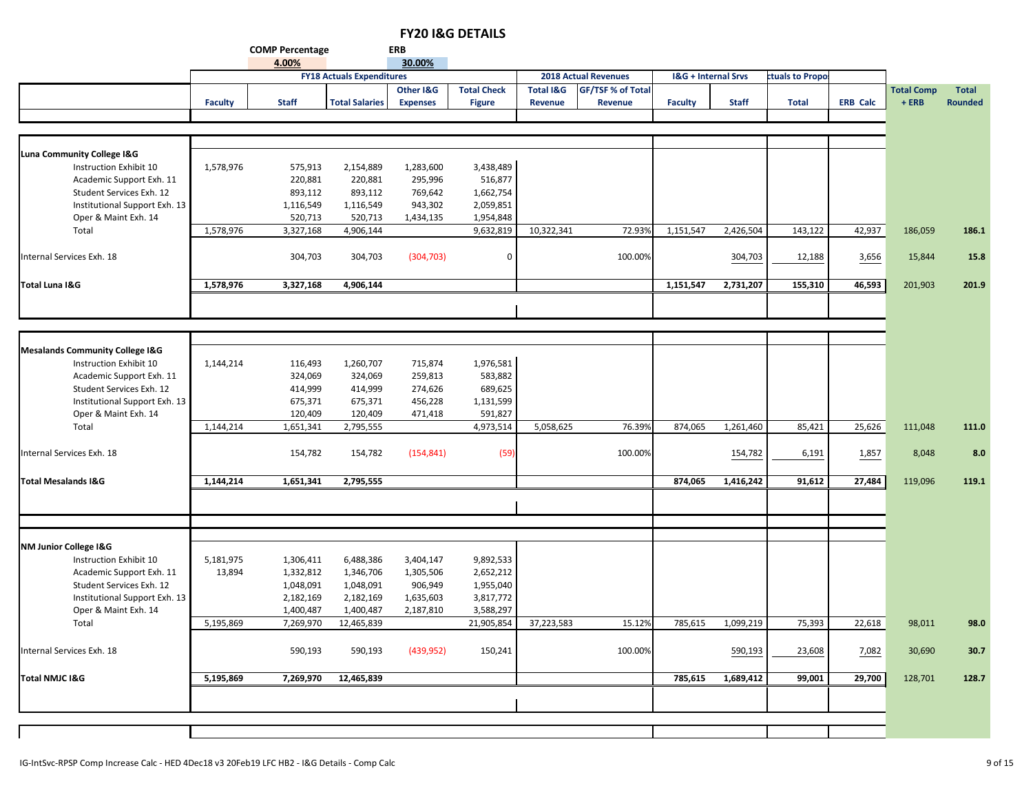|                                            |                |                        |                                  |                 | <b>FYZU I&amp;G DETAILS</b> |                      |                             |                                |              |                 |                 |                   |                |
|--------------------------------------------|----------------|------------------------|----------------------------------|-----------------|-----------------------------|----------------------|-----------------------------|--------------------------------|--------------|-----------------|-----------------|-------------------|----------------|
|                                            |                | <b>COMP Percentage</b> |                                  | <b>ERB</b>      |                             |                      |                             |                                |              |                 |                 |                   |                |
|                                            |                | 4.00%                  |                                  | 30.00%          |                             |                      |                             |                                |              |                 |                 |                   |                |
|                                            |                |                        | <b>FY18 Actuals Expenditures</b> |                 |                             |                      | <b>2018 Actual Revenues</b> | <b>I&amp;G + Internal Srvs</b> |              | ctuals to Propo |                 |                   |                |
|                                            |                |                        |                                  | Other I&G       | <b>Total Check</b>          | <b>Total I&amp;G</b> | <b>GF/TSF % of Total</b>    |                                |              |                 |                 | <b>Total Comp</b> | <b>Total</b>   |
|                                            | <b>Faculty</b> | <b>Staff</b>           | <b>Total Salaries</b>            | <b>Expenses</b> | <b>Figure</b>               | Revenue              | Revenue                     | <b>Faculty</b>                 | <b>Staff</b> | <b>Total</b>    | <b>ERB Calc</b> | $+ERB$            | <b>Rounded</b> |
|                                            |                |                        |                                  |                 |                             |                      |                             |                                |              |                 |                 |                   |                |
|                                            |                |                        |                                  |                 |                             |                      |                             |                                |              |                 |                 |                   |                |
|                                            |                |                        |                                  |                 |                             |                      |                             |                                |              |                 |                 |                   |                |
| Luna Community College I&G                 |                |                        |                                  |                 |                             |                      |                             |                                |              |                 |                 |                   |                |
| Instruction Exhibit 10                     | 1,578,976      | 575,913                | 2,154,889                        | 1,283,600       | 3,438,489                   |                      |                             |                                |              |                 |                 |                   |                |
| Academic Support Exh. 11                   |                | 220,881                | 220,881                          | 295,996         | 516,877                     |                      |                             |                                |              |                 |                 |                   |                |
| Student Services Exh. 12                   |                | 893,112                | 893,112                          | 769,642         | 1,662,754                   |                      |                             |                                |              |                 |                 |                   |                |
| Institutional Support Exh. 13              |                | 1,116,549              | 1,116,549                        | 943,302         | 2,059,851                   |                      |                             |                                |              |                 |                 |                   |                |
| Oper & Maint Exh. 14                       |                | 520,713                | 520,713                          | 1,434,135       | 1,954,848                   |                      |                             |                                |              |                 |                 |                   |                |
| Total                                      | 1,578,976      | 3,327,168              | 4,906,144                        |                 | 9,632,819                   | 10,322,341           | 72.93%                      | 1,151,547                      | 2,426,504    | 143,122         | 42,937          | 186,059           | 186.1          |
|                                            |                |                        |                                  |                 |                             |                      |                             |                                |              |                 |                 |                   |                |
| Internal Services Exh. 18                  |                | 304,703                | 304,703                          | (304, 703)      | $\Omega$                    |                      | 100.00%                     |                                | 304,703      | 12,188          | 3,656           | 15,844            | 15.8           |
|                                            |                |                        |                                  |                 |                             |                      |                             |                                |              |                 |                 |                   |                |
| Total Luna I&G                             | 1,578,976      | 3,327,168              | 4,906,144                        |                 |                             |                      |                             | 1,151,547                      | 2,731,207    | 155,310         | 46,593          | 201,903           | 201.9          |
|                                            |                |                        |                                  |                 |                             |                      |                             |                                |              |                 |                 |                   |                |
|                                            |                |                        |                                  |                 |                             |                      |                             |                                |              |                 |                 |                   |                |
|                                            |                |                        |                                  |                 |                             |                      |                             |                                |              |                 |                 |                   |                |
|                                            |                |                        |                                  |                 |                             |                      |                             |                                |              |                 |                 |                   |                |
| <b>Mesalands Community College I&amp;G</b> |                |                        |                                  |                 |                             |                      |                             |                                |              |                 |                 |                   |                |
| Instruction Exhibit 10                     | 1,144,214      | 116,493                | 1,260,707                        | 715,874         | 1,976,581                   |                      |                             |                                |              |                 |                 |                   |                |
| Academic Support Exh. 11                   |                | 324,069                | 324,069                          | 259,813         | 583,882                     |                      |                             |                                |              |                 |                 |                   |                |
| Student Services Exh. 12                   |                | 414,999                | 414,999                          | 274,626         | 689,625                     |                      |                             |                                |              |                 |                 |                   |                |
| Institutional Support Exh. 13              |                | 675,371                | 675,371                          | 456,228         | 1,131,599                   |                      |                             |                                |              |                 |                 |                   |                |
| Oper & Maint Exh. 14                       |                | 120,409                | 120,409                          | 471,418         | 591,827                     |                      |                             |                                |              |                 |                 |                   |                |
| Total                                      | 1,144,214      | 1,651,341              | 2,795,555                        |                 | 4,973,514                   | 5,058,625            | 76.39%                      | 874,065                        | 1,261,460    | 85,421          | 25,626          | 111,048           | 111.0          |
|                                            |                |                        |                                  |                 |                             |                      |                             |                                |              |                 |                 |                   |                |
| Internal Services Exh. 18                  |                | 154,782                | 154,782                          | (154, 841)      | (59)                        |                      | 100.00%                     |                                | 154,782      | 6,191           | 1,857           | 8,048             | 8.0            |
|                                            |                |                        |                                  |                 |                             |                      |                             |                                |              |                 |                 |                   |                |
| <b>Total Mesalands I&amp;G</b>             | 1,144,214      | 1,651,341              | 2,795,555                        |                 |                             |                      |                             | 874,065                        | 1,416,242    | 91,612          | 27,484          | 119,096           | 119.1          |
|                                            |                |                        |                                  |                 |                             |                      |                             |                                |              |                 |                 |                   |                |
|                                            |                |                        |                                  |                 |                             |                      |                             |                                |              |                 |                 |                   |                |
|                                            |                |                        |                                  |                 |                             |                      |                             |                                |              |                 |                 |                   |                |
|                                            |                |                        |                                  |                 |                             |                      |                             |                                |              |                 |                 |                   |                |
| NM Junior College I&G                      |                |                        |                                  |                 |                             |                      |                             |                                |              |                 |                 |                   |                |
| Instruction Exhibit 10                     | 5,181,975      | 1,306,411              | 6,488,386                        | 3,404,147       | 9,892,533                   |                      |                             |                                |              |                 |                 |                   |                |
| Academic Support Exh. 11                   | 13,894         | 1,332,812              | 1,346,706                        | 1,305,506       | 2,652,212                   |                      |                             |                                |              |                 |                 |                   |                |
| Student Services Exh. 12                   |                | 1,048,091              | 1,048,091                        | 906,949         | 1,955,040                   |                      |                             |                                |              |                 |                 |                   |                |
| Institutional Support Exh. 13              |                | 2,182,169              | 2,182,169                        | 1,635,603       | 3,817,772                   |                      |                             |                                |              |                 |                 |                   |                |
|                                            |                |                        |                                  |                 |                             |                      |                             |                                |              |                 |                 |                   |                |

Total 5,195,869 7,269,970 12,465,839 21,905,854 37,223,583 15.12% 785,615 1,099,219 75,393 22,618 98,011 **98.0**

Internal Services Exh. 18 590,193 590,193 (439,952) 150,241 100.00% 590,193 7,082 23,608 30,690 **30.7**

Total NMJC I&G 5,195,869 7,269,970 12,465,839 785,615 1,689,412 | 99,001 | 29,700 | 128,701 128.7

 $\mathbf{I}$ 

Oper & Maint Exh. 14 1,400,487 1,400,487 2,187,810 3,588,297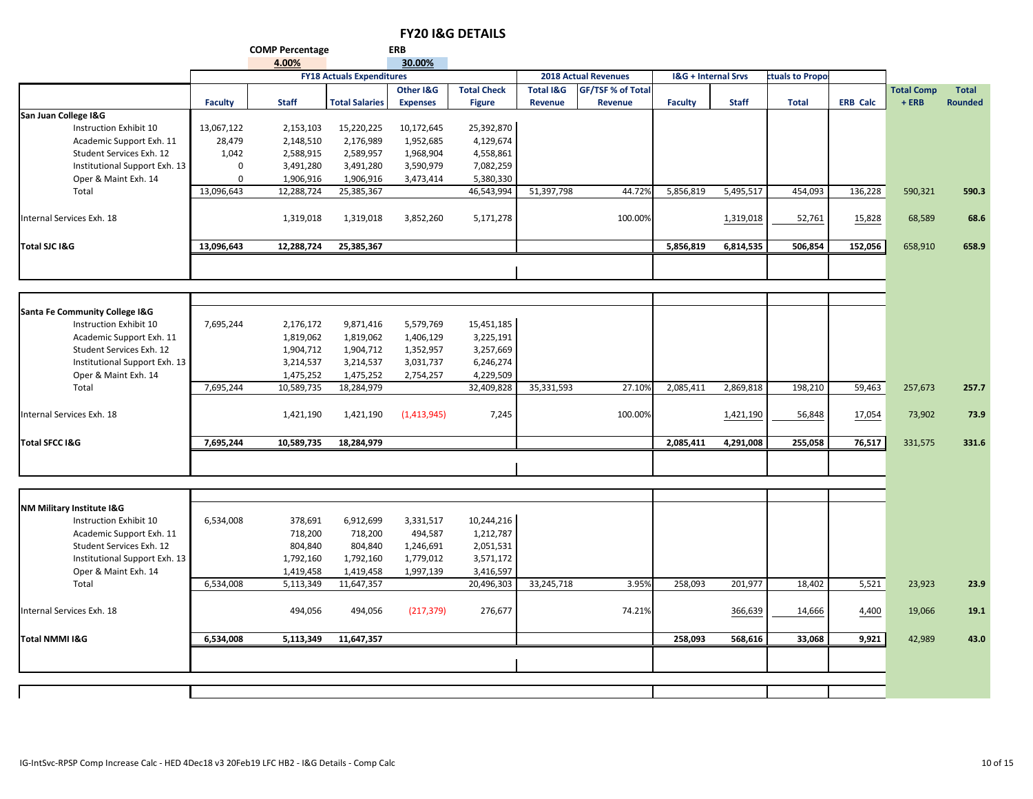| 30.00%<br>4.00%<br><b>FY18 Actuals Expenditures</b><br><b>2018 Actual Revenues</b><br><b>I&amp;G + Internal Srvs</b><br>ctuals to Propo<br><b>GF/TSF % of Total</b><br>Other I&G<br><b>Total Check</b><br><b>Total I&amp;G</b><br><b>Total Comp</b><br>$+ ERB$<br><b>Expenses</b><br><b>Revenue</b><br>Revenue<br><b>Faculty</b><br><b>Staff</b><br><b>Total Salaries</b><br><b>Figure</b><br><b>Faculty</b><br><b>Staff</b><br><b>Total</b><br><b>ERB Calc</b><br>San Juan College I&G<br>Instruction Exhibit 10<br>13,067,122<br>2,153,103<br>15,220,225<br>10,172,645<br>25,392,870<br>1,952,685<br>4,129,674<br>Academic Support Exh. 11<br>28,479<br>2,148,510<br>2,176,989<br>4,558,861<br>Student Services Exh. 12<br>1,042<br>2,588,915<br>2,589,957<br>1,968,904<br>Institutional Support Exh. 13<br>3,491,280<br>3,491,280<br>3,590,979<br>7,082,259<br>0<br>Oper & Maint Exh. 14<br>1,906,916<br>1,906,916<br>5,380,330<br>$\mathbf 0$<br>3,473,414<br>13,096,643<br>12,288,724<br>25,385,367<br>46,543,994<br>51,397,798<br>44.72%<br>5,856,819<br>5,495,517<br>454,093<br>136,228<br>Total<br>590,321<br>100.00%<br>Internal Services Exh. 18<br>1,319,018<br>1,319,018<br>3,852,260<br>5,171,278<br>1,319,018<br>52,761<br>15,828<br>68,589<br>13,096,643<br>6,814,535<br>152,056<br>Total SJC I&G<br>12,288,724<br>25,385,367<br>5,856,819<br>506,854<br>658,910<br>Santa Fe Community College I&G<br>Instruction Exhibit 10<br>7,695,244<br>9,871,416<br>5,579,769<br>15,451,185<br>2,176,172<br>3,225,191<br>Academic Support Exh. 11<br>1,819,062<br>1,406,129<br>1,819,062<br>Student Services Exh. 12<br>3,257,669<br>1,904,712<br>1,904,712<br>1,352,957<br>6,246,274<br>Institutional Support Exh. 13<br>3,214,537<br>3,214,537<br>3,031,737<br>Oper & Maint Exh. 14<br>1,475,252<br>1,475,252<br>2,754,257<br>4,229,509<br>27.10%<br>Total<br>7,695,244<br>10,589,735<br>18,284,979<br>32,409,828<br>35,331,593<br>2,085,411<br>2,869,818<br>198,210<br>59,463<br>257,673<br>100.00%<br>Internal Services Exh. 18<br>1,421,190<br>1,421,190<br>(1,413,945)<br>7,245<br>1,421,190<br>56,848<br>17,054<br>73,902<br>7,695,244<br>10,589,735<br>18,284,979<br>2,085,411<br>4,291,008<br>255,058<br>76,517<br><b>Total SFCC I&amp;G</b><br>331,575<br><b>NM Military Institute I&amp;G</b><br>Instruction Exhibit 10<br>6,534,008<br>10,244,216<br>378,691<br>6,912,699<br>3,331,517<br>494,587<br>1,212,787<br>Academic Support Exh. 11<br>718,200<br>718,200<br>2,051,531<br>Student Services Exh. 12<br>804,840<br>804,840<br>1,246,691<br>3,571,172<br>Institutional Support Exh. 13<br>1,792,160<br>1,792,160<br>1,779,012<br>Oper & Maint Exh. 14<br>3,416,597<br>1,419,458<br>1,419,458<br>1,997,139<br>6,534,008<br>33,245,718<br>3.95%<br>258,093<br>201,977<br>18,402<br>5,521<br>Total<br>5,113,349<br>11,647,357<br>20,496,303<br>23,923<br>494,056<br>494,056<br>(217, 379)<br>276,677<br>74.21%<br>14,666<br>Internal Services Exh. 18<br>366,639<br>4,400<br>19,066 |  | <b>COMP Percentage</b> | <b>ERB</b> |  |  |  |  |                |
|-------------------------------------------------------------------------------------------------------------------------------------------------------------------------------------------------------------------------------------------------------------------------------------------------------------------------------------------------------------------------------------------------------------------------------------------------------------------------------------------------------------------------------------------------------------------------------------------------------------------------------------------------------------------------------------------------------------------------------------------------------------------------------------------------------------------------------------------------------------------------------------------------------------------------------------------------------------------------------------------------------------------------------------------------------------------------------------------------------------------------------------------------------------------------------------------------------------------------------------------------------------------------------------------------------------------------------------------------------------------------------------------------------------------------------------------------------------------------------------------------------------------------------------------------------------------------------------------------------------------------------------------------------------------------------------------------------------------------------------------------------------------------------------------------------------------------------------------------------------------------------------------------------------------------------------------------------------------------------------------------------------------------------------------------------------------------------------------------------------------------------------------------------------------------------------------------------------------------------------------------------------------------------------------------------------------------------------------------------------------------------------------------------------------------------------------------------------------------------------------------------------------------------------------------------------------------------------------------------------------------------------------------------------------------------------------------------------------------------------------------------------------------------------------------------------------------------------------------------------------------------------------------------------------------------------------------------------------------------------------------------|--|------------------------|------------|--|--|--|--|----------------|
|                                                                                                                                                                                                                                                                                                                                                                                                                                                                                                                                                                                                                                                                                                                                                                                                                                                                                                                                                                                                                                                                                                                                                                                                                                                                                                                                                                                                                                                                                                                                                                                                                                                                                                                                                                                                                                                                                                                                                                                                                                                                                                                                                                                                                                                                                                                                                                                                                                                                                                                                                                                                                                                                                                                                                                                                                                                                                                                                                                                                       |  |                        |            |  |  |  |  |                |
|                                                                                                                                                                                                                                                                                                                                                                                                                                                                                                                                                                                                                                                                                                                                                                                                                                                                                                                                                                                                                                                                                                                                                                                                                                                                                                                                                                                                                                                                                                                                                                                                                                                                                                                                                                                                                                                                                                                                                                                                                                                                                                                                                                                                                                                                                                                                                                                                                                                                                                                                                                                                                                                                                                                                                                                                                                                                                                                                                                                                       |  |                        |            |  |  |  |  |                |
|                                                                                                                                                                                                                                                                                                                                                                                                                                                                                                                                                                                                                                                                                                                                                                                                                                                                                                                                                                                                                                                                                                                                                                                                                                                                                                                                                                                                                                                                                                                                                                                                                                                                                                                                                                                                                                                                                                                                                                                                                                                                                                                                                                                                                                                                                                                                                                                                                                                                                                                                                                                                                                                                                                                                                                                                                                                                                                                                                                                                       |  |                        |            |  |  |  |  | <b>Total</b>   |
|                                                                                                                                                                                                                                                                                                                                                                                                                                                                                                                                                                                                                                                                                                                                                                                                                                                                                                                                                                                                                                                                                                                                                                                                                                                                                                                                                                                                                                                                                                                                                                                                                                                                                                                                                                                                                                                                                                                                                                                                                                                                                                                                                                                                                                                                                                                                                                                                                                                                                                                                                                                                                                                                                                                                                                                                                                                                                                                                                                                                       |  |                        |            |  |  |  |  | <b>Rounded</b> |
|                                                                                                                                                                                                                                                                                                                                                                                                                                                                                                                                                                                                                                                                                                                                                                                                                                                                                                                                                                                                                                                                                                                                                                                                                                                                                                                                                                                                                                                                                                                                                                                                                                                                                                                                                                                                                                                                                                                                                                                                                                                                                                                                                                                                                                                                                                                                                                                                                                                                                                                                                                                                                                                                                                                                                                                                                                                                                                                                                                                                       |  |                        |            |  |  |  |  |                |
|                                                                                                                                                                                                                                                                                                                                                                                                                                                                                                                                                                                                                                                                                                                                                                                                                                                                                                                                                                                                                                                                                                                                                                                                                                                                                                                                                                                                                                                                                                                                                                                                                                                                                                                                                                                                                                                                                                                                                                                                                                                                                                                                                                                                                                                                                                                                                                                                                                                                                                                                                                                                                                                                                                                                                                                                                                                                                                                                                                                                       |  |                        |            |  |  |  |  |                |
|                                                                                                                                                                                                                                                                                                                                                                                                                                                                                                                                                                                                                                                                                                                                                                                                                                                                                                                                                                                                                                                                                                                                                                                                                                                                                                                                                                                                                                                                                                                                                                                                                                                                                                                                                                                                                                                                                                                                                                                                                                                                                                                                                                                                                                                                                                                                                                                                                                                                                                                                                                                                                                                                                                                                                                                                                                                                                                                                                                                                       |  |                        |            |  |  |  |  |                |
|                                                                                                                                                                                                                                                                                                                                                                                                                                                                                                                                                                                                                                                                                                                                                                                                                                                                                                                                                                                                                                                                                                                                                                                                                                                                                                                                                                                                                                                                                                                                                                                                                                                                                                                                                                                                                                                                                                                                                                                                                                                                                                                                                                                                                                                                                                                                                                                                                                                                                                                                                                                                                                                                                                                                                                                                                                                                                                                                                                                                       |  |                        |            |  |  |  |  |                |
|                                                                                                                                                                                                                                                                                                                                                                                                                                                                                                                                                                                                                                                                                                                                                                                                                                                                                                                                                                                                                                                                                                                                                                                                                                                                                                                                                                                                                                                                                                                                                                                                                                                                                                                                                                                                                                                                                                                                                                                                                                                                                                                                                                                                                                                                                                                                                                                                                                                                                                                                                                                                                                                                                                                                                                                                                                                                                                                                                                                                       |  |                        |            |  |  |  |  |                |
|                                                                                                                                                                                                                                                                                                                                                                                                                                                                                                                                                                                                                                                                                                                                                                                                                                                                                                                                                                                                                                                                                                                                                                                                                                                                                                                                                                                                                                                                                                                                                                                                                                                                                                                                                                                                                                                                                                                                                                                                                                                                                                                                                                                                                                                                                                                                                                                                                                                                                                                                                                                                                                                                                                                                                                                                                                                                                                                                                                                                       |  |                        |            |  |  |  |  |                |
|                                                                                                                                                                                                                                                                                                                                                                                                                                                                                                                                                                                                                                                                                                                                                                                                                                                                                                                                                                                                                                                                                                                                                                                                                                                                                                                                                                                                                                                                                                                                                                                                                                                                                                                                                                                                                                                                                                                                                                                                                                                                                                                                                                                                                                                                                                                                                                                                                                                                                                                                                                                                                                                                                                                                                                                                                                                                                                                                                                                                       |  |                        |            |  |  |  |  | 590.3          |
|                                                                                                                                                                                                                                                                                                                                                                                                                                                                                                                                                                                                                                                                                                                                                                                                                                                                                                                                                                                                                                                                                                                                                                                                                                                                                                                                                                                                                                                                                                                                                                                                                                                                                                                                                                                                                                                                                                                                                                                                                                                                                                                                                                                                                                                                                                                                                                                                                                                                                                                                                                                                                                                                                                                                                                                                                                                                                                                                                                                                       |  |                        |            |  |  |  |  | 68.6           |
|                                                                                                                                                                                                                                                                                                                                                                                                                                                                                                                                                                                                                                                                                                                                                                                                                                                                                                                                                                                                                                                                                                                                                                                                                                                                                                                                                                                                                                                                                                                                                                                                                                                                                                                                                                                                                                                                                                                                                                                                                                                                                                                                                                                                                                                                                                                                                                                                                                                                                                                                                                                                                                                                                                                                                                                                                                                                                                                                                                                                       |  |                        |            |  |  |  |  | 658.9          |
|                                                                                                                                                                                                                                                                                                                                                                                                                                                                                                                                                                                                                                                                                                                                                                                                                                                                                                                                                                                                                                                                                                                                                                                                                                                                                                                                                                                                                                                                                                                                                                                                                                                                                                                                                                                                                                                                                                                                                                                                                                                                                                                                                                                                                                                                                                                                                                                                                                                                                                                                                                                                                                                                                                                                                                                                                                                                                                                                                                                                       |  |                        |            |  |  |  |  |                |
|                                                                                                                                                                                                                                                                                                                                                                                                                                                                                                                                                                                                                                                                                                                                                                                                                                                                                                                                                                                                                                                                                                                                                                                                                                                                                                                                                                                                                                                                                                                                                                                                                                                                                                                                                                                                                                                                                                                                                                                                                                                                                                                                                                                                                                                                                                                                                                                                                                                                                                                                                                                                                                                                                                                                                                                                                                                                                                                                                                                                       |  |                        |            |  |  |  |  |                |
|                                                                                                                                                                                                                                                                                                                                                                                                                                                                                                                                                                                                                                                                                                                                                                                                                                                                                                                                                                                                                                                                                                                                                                                                                                                                                                                                                                                                                                                                                                                                                                                                                                                                                                                                                                                                                                                                                                                                                                                                                                                                                                                                                                                                                                                                                                                                                                                                                                                                                                                                                                                                                                                                                                                                                                                                                                                                                                                                                                                                       |  |                        |            |  |  |  |  |                |
|                                                                                                                                                                                                                                                                                                                                                                                                                                                                                                                                                                                                                                                                                                                                                                                                                                                                                                                                                                                                                                                                                                                                                                                                                                                                                                                                                                                                                                                                                                                                                                                                                                                                                                                                                                                                                                                                                                                                                                                                                                                                                                                                                                                                                                                                                                                                                                                                                                                                                                                                                                                                                                                                                                                                                                                                                                                                                                                                                                                                       |  |                        |            |  |  |  |  |                |
|                                                                                                                                                                                                                                                                                                                                                                                                                                                                                                                                                                                                                                                                                                                                                                                                                                                                                                                                                                                                                                                                                                                                                                                                                                                                                                                                                                                                                                                                                                                                                                                                                                                                                                                                                                                                                                                                                                                                                                                                                                                                                                                                                                                                                                                                                                                                                                                                                                                                                                                                                                                                                                                                                                                                                                                                                                                                                                                                                                                                       |  |                        |            |  |  |  |  |                |
|                                                                                                                                                                                                                                                                                                                                                                                                                                                                                                                                                                                                                                                                                                                                                                                                                                                                                                                                                                                                                                                                                                                                                                                                                                                                                                                                                                                                                                                                                                                                                                                                                                                                                                                                                                                                                                                                                                                                                                                                                                                                                                                                                                                                                                                                                                                                                                                                                                                                                                                                                                                                                                                                                                                                                                                                                                                                                                                                                                                                       |  |                        |            |  |  |  |  |                |
|                                                                                                                                                                                                                                                                                                                                                                                                                                                                                                                                                                                                                                                                                                                                                                                                                                                                                                                                                                                                                                                                                                                                                                                                                                                                                                                                                                                                                                                                                                                                                                                                                                                                                                                                                                                                                                                                                                                                                                                                                                                                                                                                                                                                                                                                                                                                                                                                                                                                                                                                                                                                                                                                                                                                                                                                                                                                                                                                                                                                       |  |                        |            |  |  |  |  |                |
|                                                                                                                                                                                                                                                                                                                                                                                                                                                                                                                                                                                                                                                                                                                                                                                                                                                                                                                                                                                                                                                                                                                                                                                                                                                                                                                                                                                                                                                                                                                                                                                                                                                                                                                                                                                                                                                                                                                                                                                                                                                                                                                                                                                                                                                                                                                                                                                                                                                                                                                                                                                                                                                                                                                                                                                                                                                                                                                                                                                                       |  |                        |            |  |  |  |  |                |
|                                                                                                                                                                                                                                                                                                                                                                                                                                                                                                                                                                                                                                                                                                                                                                                                                                                                                                                                                                                                                                                                                                                                                                                                                                                                                                                                                                                                                                                                                                                                                                                                                                                                                                                                                                                                                                                                                                                                                                                                                                                                                                                                                                                                                                                                                                                                                                                                                                                                                                                                                                                                                                                                                                                                                                                                                                                                                                                                                                                                       |  |                        |            |  |  |  |  | 257.7          |
|                                                                                                                                                                                                                                                                                                                                                                                                                                                                                                                                                                                                                                                                                                                                                                                                                                                                                                                                                                                                                                                                                                                                                                                                                                                                                                                                                                                                                                                                                                                                                                                                                                                                                                                                                                                                                                                                                                                                                                                                                                                                                                                                                                                                                                                                                                                                                                                                                                                                                                                                                                                                                                                                                                                                                                                                                                                                                                                                                                                                       |  |                        |            |  |  |  |  | 73.9           |
|                                                                                                                                                                                                                                                                                                                                                                                                                                                                                                                                                                                                                                                                                                                                                                                                                                                                                                                                                                                                                                                                                                                                                                                                                                                                                                                                                                                                                                                                                                                                                                                                                                                                                                                                                                                                                                                                                                                                                                                                                                                                                                                                                                                                                                                                                                                                                                                                                                                                                                                                                                                                                                                                                                                                                                                                                                                                                                                                                                                                       |  |                        |            |  |  |  |  | 331.6          |
|                                                                                                                                                                                                                                                                                                                                                                                                                                                                                                                                                                                                                                                                                                                                                                                                                                                                                                                                                                                                                                                                                                                                                                                                                                                                                                                                                                                                                                                                                                                                                                                                                                                                                                                                                                                                                                                                                                                                                                                                                                                                                                                                                                                                                                                                                                                                                                                                                                                                                                                                                                                                                                                                                                                                                                                                                                                                                                                                                                                                       |  |                        |            |  |  |  |  |                |
|                                                                                                                                                                                                                                                                                                                                                                                                                                                                                                                                                                                                                                                                                                                                                                                                                                                                                                                                                                                                                                                                                                                                                                                                                                                                                                                                                                                                                                                                                                                                                                                                                                                                                                                                                                                                                                                                                                                                                                                                                                                                                                                                                                                                                                                                                                                                                                                                                                                                                                                                                                                                                                                                                                                                                                                                                                                                                                                                                                                                       |  |                        |            |  |  |  |  |                |
|                                                                                                                                                                                                                                                                                                                                                                                                                                                                                                                                                                                                                                                                                                                                                                                                                                                                                                                                                                                                                                                                                                                                                                                                                                                                                                                                                                                                                                                                                                                                                                                                                                                                                                                                                                                                                                                                                                                                                                                                                                                                                                                                                                                                                                                                                                                                                                                                                                                                                                                                                                                                                                                                                                                                                                                                                                                                                                                                                                                                       |  |                        |            |  |  |  |  |                |
|                                                                                                                                                                                                                                                                                                                                                                                                                                                                                                                                                                                                                                                                                                                                                                                                                                                                                                                                                                                                                                                                                                                                                                                                                                                                                                                                                                                                                                                                                                                                                                                                                                                                                                                                                                                                                                                                                                                                                                                                                                                                                                                                                                                                                                                                                                                                                                                                                                                                                                                                                                                                                                                                                                                                                                                                                                                                                                                                                                                                       |  |                        |            |  |  |  |  |                |
|                                                                                                                                                                                                                                                                                                                                                                                                                                                                                                                                                                                                                                                                                                                                                                                                                                                                                                                                                                                                                                                                                                                                                                                                                                                                                                                                                                                                                                                                                                                                                                                                                                                                                                                                                                                                                                                                                                                                                                                                                                                                                                                                                                                                                                                                                                                                                                                                                                                                                                                                                                                                                                                                                                                                                                                                                                                                                                                                                                                                       |  |                        |            |  |  |  |  |                |
|                                                                                                                                                                                                                                                                                                                                                                                                                                                                                                                                                                                                                                                                                                                                                                                                                                                                                                                                                                                                                                                                                                                                                                                                                                                                                                                                                                                                                                                                                                                                                                                                                                                                                                                                                                                                                                                                                                                                                                                                                                                                                                                                                                                                                                                                                                                                                                                                                                                                                                                                                                                                                                                                                                                                                                                                                                                                                                                                                                                                       |  |                        |            |  |  |  |  |                |
|                                                                                                                                                                                                                                                                                                                                                                                                                                                                                                                                                                                                                                                                                                                                                                                                                                                                                                                                                                                                                                                                                                                                                                                                                                                                                                                                                                                                                                                                                                                                                                                                                                                                                                                                                                                                                                                                                                                                                                                                                                                                                                                                                                                                                                                                                                                                                                                                                                                                                                                                                                                                                                                                                                                                                                                                                                                                                                                                                                                                       |  |                        |            |  |  |  |  |                |
|                                                                                                                                                                                                                                                                                                                                                                                                                                                                                                                                                                                                                                                                                                                                                                                                                                                                                                                                                                                                                                                                                                                                                                                                                                                                                                                                                                                                                                                                                                                                                                                                                                                                                                                                                                                                                                                                                                                                                                                                                                                                                                                                                                                                                                                                                                                                                                                                                                                                                                                                                                                                                                                                                                                                                                                                                                                                                                                                                                                                       |  |                        |            |  |  |  |  |                |
|                                                                                                                                                                                                                                                                                                                                                                                                                                                                                                                                                                                                                                                                                                                                                                                                                                                                                                                                                                                                                                                                                                                                                                                                                                                                                                                                                                                                                                                                                                                                                                                                                                                                                                                                                                                                                                                                                                                                                                                                                                                                                                                                                                                                                                                                                                                                                                                                                                                                                                                                                                                                                                                                                                                                                                                                                                                                                                                                                                                                       |  |                        |            |  |  |  |  | 23.9           |
|                                                                                                                                                                                                                                                                                                                                                                                                                                                                                                                                                                                                                                                                                                                                                                                                                                                                                                                                                                                                                                                                                                                                                                                                                                                                                                                                                                                                                                                                                                                                                                                                                                                                                                                                                                                                                                                                                                                                                                                                                                                                                                                                                                                                                                                                                                                                                                                                                                                                                                                                                                                                                                                                                                                                                                                                                                                                                                                                                                                                       |  |                        |            |  |  |  |  | 19.1           |
| 9,921<br>6,534,008<br>5,113,349<br>11,647,357<br>258.093<br>568.616<br>33,068<br>42.989<br>Total NMMI I&G                                                                                                                                                                                                                                                                                                                                                                                                                                                                                                                                                                                                                                                                                                                                                                                                                                                                                                                                                                                                                                                                                                                                                                                                                                                                                                                                                                                                                                                                                                                                                                                                                                                                                                                                                                                                                                                                                                                                                                                                                                                                                                                                                                                                                                                                                                                                                                                                                                                                                                                                                                                                                                                                                                                                                                                                                                                                                             |  |                        |            |  |  |  |  | 43.0           |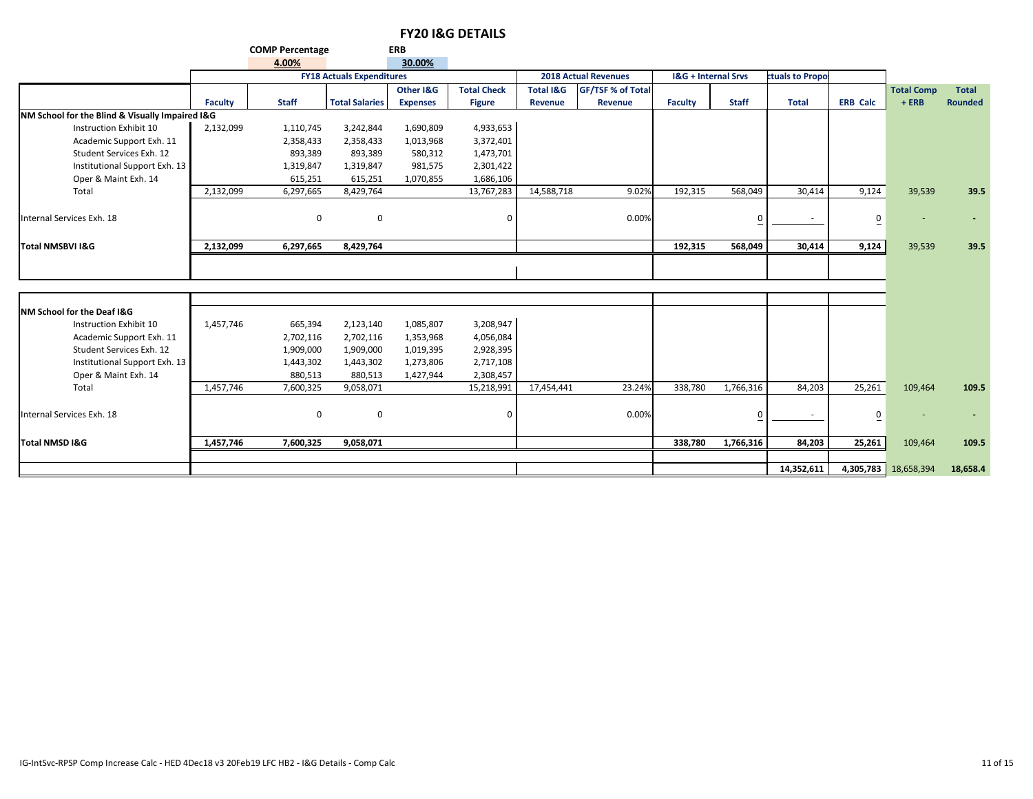|                                                 |           | <b>COMP Percentage</b> |                                  | <b>ERB</b>      |                    |                      |                             |                                |              |                 |                 |                      |                |
|-------------------------------------------------|-----------|------------------------|----------------------------------|-----------------|--------------------|----------------------|-----------------------------|--------------------------------|--------------|-----------------|-----------------|----------------------|----------------|
|                                                 |           | 4.00%                  |                                  | 30.00%          |                    |                      |                             |                                |              |                 |                 |                      |                |
|                                                 |           |                        | <b>FY18 Actuals Expenditures</b> |                 |                    |                      | <b>2018 Actual Revenues</b> | <b>I&amp;G + Internal Srvs</b> |              | ctuals to Propo |                 |                      |                |
|                                                 |           |                        |                                  | Other I&G       | <b>Total Check</b> | <b>Total I&amp;G</b> | <b>GF/TSF % of Total</b>    |                                |              |                 |                 | <b>Total Comp</b>    | <b>Total</b>   |
|                                                 | Faculty   | <b>Staff</b>           | <b>Total Salaries</b>            | <b>Expenses</b> | <b>Figure</b>      | Revenue              | Revenue                     | <b>Faculty</b>                 | <b>Staff</b> | <b>Total</b>    | <b>ERB Calc</b> | $+ERB$               | <b>Rounded</b> |
| NM School for the Blind & Visually Impaired I&G |           |                        |                                  |                 |                    |                      |                             |                                |              |                 |                 |                      |                |
| Instruction Exhibit 10                          | 2,132,099 | 1,110,745              | 3,242,844                        | 1,690,809       | 4,933,653          |                      |                             |                                |              |                 |                 |                      |                |
| Academic Support Exh. 11                        |           | 2,358,433              | 2,358,433                        | 1,013,968       | 3,372,401          |                      |                             |                                |              |                 |                 |                      |                |
| Student Services Exh. 12                        |           | 893,389                | 893,389                          | 580,312         | 1,473,701          |                      |                             |                                |              |                 |                 |                      |                |
| Institutional Support Exh. 13                   |           | 1,319,847              | 1,319,847                        | 981,575         | 2,301,422          |                      |                             |                                |              |                 |                 |                      |                |
| Oper & Maint Exh. 14                            |           | 615,251                | 615,251                          | 1,070,855       | 1,686,106          |                      |                             |                                |              |                 |                 |                      |                |
| Total                                           | 2,132,099 | 6,297,665              | 8,429,764                        |                 | 13,767,283         | 14,588,718           | 9.02%                       | 192,315                        | 568,049      | 30,414          | 9,124           | 39,539               | 39.5           |
| Internal Services Exh. 18                       |           | $\mathbf 0$            | 0                                |                 | $\mathbf 0$        |                      | 0.00%                       |                                |              | $\sim$          | $\overline{0}$  |                      |                |
| <b>Total NMSBVI I&amp;G</b>                     | 2,132,099 | 6,297,665              | 8,429,764                        |                 |                    |                      |                             | 192.315                        | 568.049      | 30,414          | 9,124           | 39,539               | 39.5           |
|                                                 |           |                        |                                  |                 |                    |                      |                             |                                |              |                 |                 |                      |                |
|                                                 |           |                        |                                  |                 |                    |                      |                             |                                |              |                 |                 |                      |                |
| <b>NM School for the Deaf I&amp;G</b>           |           |                        |                                  |                 |                    |                      |                             |                                |              |                 |                 |                      |                |
| Instruction Exhibit 10                          | 1,457,746 | 665,394                | 2,123,140                        | 1,085,807       | 3,208,947          |                      |                             |                                |              |                 |                 |                      |                |
| Academic Support Exh. 11                        |           | 2,702,116              | 2,702,116                        | 1,353,968       | 4,056,084          |                      |                             |                                |              |                 |                 |                      |                |
| Student Services Exh. 12                        |           | 1,909,000              | 1,909,000                        | 1,019,395       | 2,928,395          |                      |                             |                                |              |                 |                 |                      |                |
| Institutional Support Exh. 13                   |           | 1,443,302              | 1,443,302                        | 1,273,806       | 2,717,108          |                      |                             |                                |              |                 |                 |                      |                |
| Oper & Maint Exh. 14                            |           | 880,513                | 880,513                          | 1,427,944       | 2,308,457          |                      |                             |                                |              |                 |                 |                      |                |
| Total                                           | 1,457,746 | 7,600,325              | 9,058,071                        |                 | 15,218,991         | 17,454,441           | 23.24%                      | 338,780                        | 1,766,316    | 84,203          | 25,261          | 109,464              | 109.5          |
| Internal Services Exh. 18                       |           | 0                      | 0                                |                 | $\Omega$           |                      | 0.00%                       |                                |              |                 | 0               |                      |                |
| <b>Total NMSD I&amp;G</b>                       | 1,457,746 | 7,600,325              | 9,058,071                        |                 |                    |                      |                             | 338,780                        | 1,766,316    | 84,203          | 25,261          | 109,464              | 109.5          |
|                                                 |           |                        |                                  |                 |                    |                      |                             |                                |              |                 |                 |                      |                |
|                                                 |           |                        |                                  |                 |                    |                      |                             |                                |              | 14,352,611      |                 | 4,305,783 18,658,394 | 18,658.4       |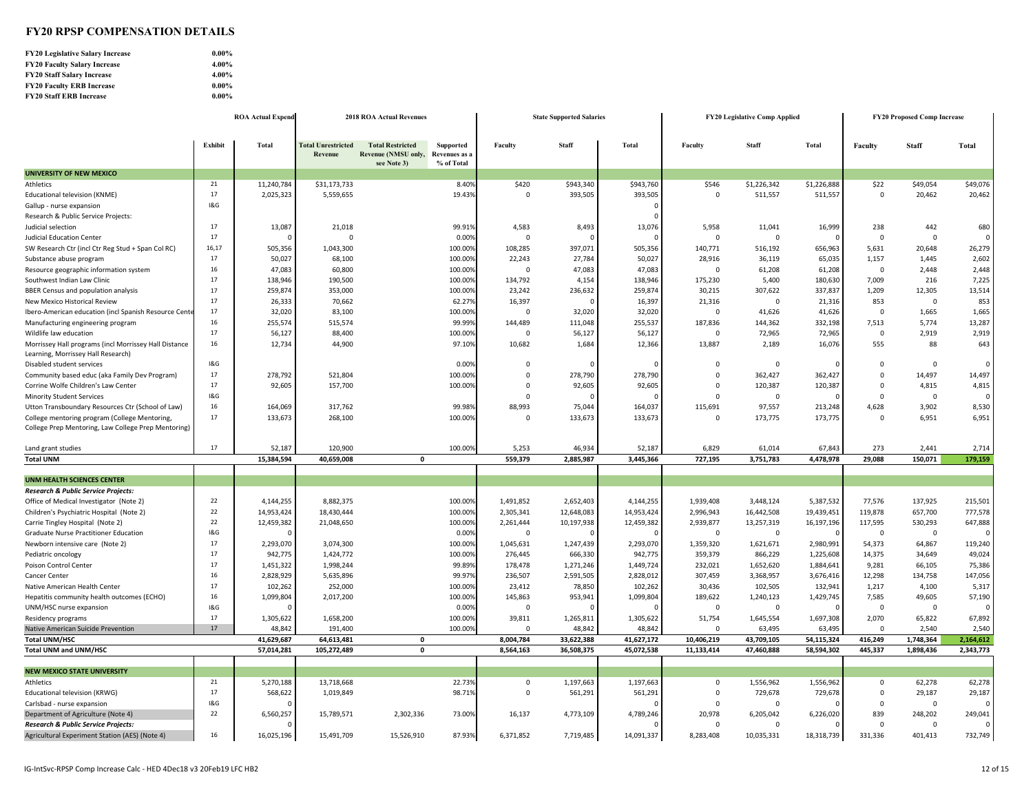#### **FY20 RPSP COMPENSATION DETAILS**

| <b>FY20 Legislative Salary Increase</b> | $0.00\%$ |
|-----------------------------------------|----------|
| <b>FY20 Faculty Salary Increase</b>     | 4.00%    |
| <b>FY20 Staff Salary Increase</b>       | $4.00\%$ |
| <b>FY20 Faculty ERB Increase</b>        | $0.00\%$ |
| <b>FY20 Staff ERB Increase</b>          | $0.00\%$ |

|                                                       |                | <b>ROA Actual Expend</b> | <b>2018 ROA Actual Revenues</b>      |                                                               |                                          |             | <b>State Supported Salaries</b> |            | <b>FY20 Legislative Comp Applied</b> | <b>FY20 Proposed Comp Increase</b> |              |                |              |           |
|-------------------------------------------------------|----------------|--------------------------|--------------------------------------|---------------------------------------------------------------|------------------------------------------|-------------|---------------------------------|------------|--------------------------------------|------------------------------------|--------------|----------------|--------------|-----------|
|                                                       |                |                          |                                      |                                                               |                                          |             |                                 |            |                                      |                                    |              |                |              |           |
|                                                       | Exhibit        | Total                    | <b>Total Unrestricted</b><br>Revenue | <b>Total Restricted</b><br>Revenue (NMSU only,<br>see Note 3) | Supported<br>Revenues as a<br>% of Total | Faculty     | <b>Staff</b>                    | Total      | Faculty                              | <b>Staff</b>                       | <b>Total</b> | Faculty        | <b>Staff</b> | Total     |
| <b>UNIVERSITY OF NEW MEXICO</b>                       |                |                          |                                      |                                                               |                                          |             |                                 |            |                                      |                                    |              |                |              |           |
| Athletics                                             | 21             | 11,240,784               | \$31,173,733                         |                                                               | 8.40%                                    | \$420       | \$943,340                       | \$943,760  | \$546                                | \$1,226,342                        | \$1,226,888  | \$22           | \$49,054     | \$49,076  |
| Educational television (KNME)                         | 17             | 2,025,323                | 5,559,655                            |                                                               | 19.43%                                   | $\mathbf 0$ | 393,505                         | 393,505    | $\mathbf 0$                          | 511,557                            | 511,557      | $\mathbf 0$    | 20,462       | 20,462    |
| Gallup - nurse expansion                              | <b>1&amp;G</b> |                          |                                      |                                                               |                                          |             |                                 | $\Omega$   |                                      |                                    |              |                |              |           |
| Research & Public Service Projects:                   |                |                          |                                      |                                                               |                                          |             |                                 | $\Omega$   |                                      |                                    |              |                |              |           |
| Judicial selection                                    | 17             | 13,087                   | 21,018                               |                                                               | 99.91%                                   | 4,583       | 8,493                           | 13,076     | 5,958                                | 11,041                             | 16,999       | 238            | 442          | 680       |
| <b>Judicial Education Center</b>                      | 17             |                          | $\Omega$                             |                                                               | 0.00%                                    | $\mathbf 0$ |                                 |            | $\mathbf 0$                          | $\Omega$                           | $\Omega$     | $\mathbf 0$    | $\mathbf 0$  | $\Omega$  |
| SW Research Ctr (incl Ctr Reg Stud + Span Col RC)     | 16,17          | 505,356                  | 1,043,300                            |                                                               | 100.00%                                  | 108,285     | 397.071                         | 505,356    | 140,771                              | 516,192                            | 656,963      | 5,631          | 20,648       | 26,279    |
| Substance abuse program                               | 17             | 50,027                   | 68,100                               |                                                               | 100.00%                                  | 22,243      | 27,784                          | 50,027     | 28,916                               | 36,119                             | 65,035       | 1,157          | 1,445        | 2,602     |
| Resource geographic information system                | 16             | 47,083                   | 60,800                               |                                                               | 100.00%                                  | $\Omega$    | 47,083                          | 47,083     | $\Omega$                             | 61,208                             | 61,208       | $\overline{0}$ | 2,448        | 2,448     |
| Southwest Indian Law Clinic                           | 17             | 138,946                  | 190,500                              |                                                               | 100.00%                                  | 134,792     | 4,154                           | 138,946    | 175,230                              | 5,400                              | 180,630      | 7,009          | 216          | 7,225     |
| BBER Census and population analysis                   | 17             | 259,874                  | 353,000                              |                                                               | 100.00%                                  | 23,242      | 236,632                         | 259,874    | 30,215                               | 307,622                            | 337,837      | 1,209          | 12,305       | 13,514    |
| New Mexico Historical Review                          | 17             | 26,333                   | 70,662                               |                                                               | 62.27%                                   | 16,397      |                                 | 16,397     | 21,316                               | $\mathbf{0}$                       | 21,316       | 853            | 0            | 853       |
| Ibero-American education (incl Spanish Resource Cente | 17             | 32,020                   | 83,100                               |                                                               | 100.00%                                  | $\mathbf 0$ | 32,020                          | 32,020     | $\mathbf 0$                          | 41,626                             | 41,626       | $\overline{0}$ | 1,665        | 1,665     |
| Manufacturing engineering program                     | 16             | 255,574                  | 515,574                              |                                                               | 99.99%                                   | 144,489     | 111,048                         | 255,537    | 187,836                              | 144,362                            | 332,198      | 7,513          | 5,774        | 13,287    |
| Wildlife law education                                | 17             | 56,127                   | 88,400                               |                                                               | 100.00%                                  | $\Omega$    | 56,127                          | 56,127     | $\Omega$                             | 72,965                             | 72,965       | $\mathbf 0$    | 2,919        | 2,919     |
| Morrissey Hall programs (incl Morrissey Hall Distance | 16             | 12,734                   | 44,900                               |                                                               | 97.10%                                   | 10,682      | 1,684                           | 12,366     | 13,887                               | 2,189                              | 16,076       | 555            | 88           | 643       |
| Learning, Morrissey Hall Research)                    |                |                          |                                      |                                                               |                                          |             |                                 |            |                                      |                                    |              |                |              |           |
| Disabled student services                             | 1&G            |                          |                                      |                                                               | 0.00%                                    | $\mathbf 0$ |                                 | $\Omega$   |                                      | $\overline{0}$                     | 0            | $\mathbf 0$    | 0            | $\Omega$  |
| Community based educ (aka Family Dev Program)         | 17             | 278,792                  | 521,804                              |                                                               | 100.00%                                  | $\Omega$    | 278,790                         | 278,790    |                                      | 362,427                            | 362,427      | $\mathbf 0$    | 14,497       | 14,497    |
| Corrine Wolfe Children's Law Center                   | 17             | 92,605                   | 157,700                              |                                                               | 100.00%                                  | $\Omega$    | 92,605                          | 92,605     | $\Omega$                             | 120,387                            | 120,387      | $\Omega$       | 4,815        | 4,815     |
| <b>Minority Student Services</b>                      | 18G            |                          |                                      |                                                               |                                          | $\Omega$    |                                 |            | $\Omega$                             | $\Omega$                           | $\Omega$     | $\Omega$       | $\Omega$     |           |
| Utton Transboundary Resources Ctr (School of Law)     | 16             | 164,069                  | 317,762                              |                                                               | 99.98%                                   | 88,993      | 75,044                          | 164,037    | 115,691                              | 97,557                             | 213,248      | 4,628          | 3,902        | 8,530     |
| College mentoring program (College Mentoring,         | 17             | 133,673                  | 268,100                              |                                                               | 100.00%                                  | $\Omega$    | 133,673                         | 133,673    | $\Omega$                             | 173,775                            | 173,775      | $\mathbf 0$    | 6,951        | 6,951     |
| College Prep Mentoring, Law College Prep Mentoring)   |                |                          |                                      |                                                               |                                          |             |                                 |            |                                      |                                    |              |                |              |           |
| Land grant studies                                    | 17             | 52,187                   | 120,900                              |                                                               | 100.00%                                  | 5,253       | 46,934                          | 52,187     | 6,829                                | 61,014                             | 67,843       | 273            | 2,441        | 2,714     |
| <b>Total UNM</b>                                      |                | 15,384,594               | 40,659,008                           | $\mathbf{0}$                                                  |                                          | 559,379     | 2,885,987                       | 3,445,366  | 727,195                              | 3,751,783                          | 4,478,978    | 29,088         | 150,071      | 179,159   |
|                                                       |                |                          |                                      |                                                               |                                          |             |                                 |            |                                      |                                    |              |                |              |           |
| <b>UNM HEALTH SCIENCES CENTER</b>                     |                |                          |                                      |                                                               |                                          |             |                                 |            |                                      |                                    |              |                |              |           |
| Research & Public Service Projects:                   |                |                          |                                      |                                                               |                                          |             |                                 |            |                                      |                                    |              |                |              |           |
| Office of Medical Investigator (Note 2)               | 22             | 4,144,255                | 8,882,375                            |                                                               | 100.00%                                  | 1,491,852   | 2,652,403                       | 4,144,255  | 1,939,408                            | 3,448,124                          | 5,387,532    | 77,576         | 137,925      | 215,501   |
| Children's Psychiatric Hospital (Note 2)              | 22             | 14,953,424               | 18,430,444                           |                                                               | 100.00%                                  | 2,305,341   | 12,648,083                      | 14,953,424 | 2,996,943                            | 16,442,508                         | 19,439,451   | 119,878        | 657,700      | 777,578   |
| Carrie Tingley Hospital (Note 2)                      | 22             | 12,459,382               | 21,048,650                           |                                                               | 100.00%                                  | 2,261,444   | 10,197,938                      | 12,459,382 | 2,939,877                            | 13,257,319                         | 16,197,196   | 117,595        | 530,293      | 647,888   |
| Graduate Nurse Practitioner Education                 | <b>1&amp;G</b> |                          |                                      |                                                               | 0.00%                                    | $\Omega$    |                                 |            | $\Omega$                             | - 0                                | $\Omega$     | $\Omega$       | $\Omega$     |           |
| Newborn intensive care (Note 2)                       | 17             | 2,293,070                | 3,074,300                            |                                                               | 100.00%                                  | 1,045,631   | 1,247,439                       | 2,293,070  | 1,359,320                            | 1,621,671                          | 2,980,991    | 54,373         | 64,867       | 119,240   |
| Pediatric oncology                                    | 17             | 942,775                  | 1,424,772                            |                                                               | 100.00%                                  | 276,445     | 666,330                         | 942,775    | 359,379                              | 866,229                            | 1,225,608    | 14,375         | 34,649       | 49,024    |
| Poison Control Center                                 | 17             | 1,451,322                | 1,998,244                            |                                                               | 99.89%                                   | 178,478     | 1,271,246                       | 1,449,724  | 232,021                              | 1,652,620                          | 1,884,641    | 9,281          | 66,105       | 75,386    |
| Cancer Center                                         | 16             | 2,828,929                | 5,635,896                            |                                                               | 99.97%                                   | 236,507     | 2,591,505                       | 2,828,012  | 307,459                              | 3,368,957                          | 3,676,416    | 12,298         | 134,758      | 147,056   |
| Native American Health Center                         | 17             | 102,262                  | 252,000                              |                                                               | 100.00%                                  | 23,412      | 78,850                          | 102,262    | 30,436                               | 102,505                            | 132,941      | 1,217          | 4,100        | 5,317     |
| Hepatitis community health outcomes (ECHO)            | 16             | 1,099,804                | 2,017,200                            |                                                               | 100.00%                                  | 145,863     | 953,941                         | 1,099,804  | 189,622                              | 1,240,123                          | 1,429,745    | 7,585          | 49,605       | 57,190    |
| UNM/HSC nurse expansion                               | <b>1&amp;G</b> |                          |                                      |                                                               | 0.00%                                    | $\mathbf 0$ |                                 | $\Omega$   | $\mathbf 0$                          | $\overline{0}$                     | $\Omega$     | $\overline{0}$ | $\mathbf 0$  |           |
| Residency programs                                    | 17             | 1,305,622                | 1,658,200                            |                                                               | 100.00%                                  | 39,811      | 1,265,811                       | 1,305,622  | 51,754                               | 1,645,554                          | 1,697,308    | 2,070          | 65,822       | 67,892    |
| Native American Suicide Prevention                    | 17             | 48,842                   | 191,400                              |                                                               | 100.00%                                  | $\Omega$    | 48,842                          | 48,842     | $\Omega$                             | 63,495                             | 63,495       | $\Omega$       | 2,540        | 2,540     |
| <b>Total UNM/HSC</b>                                  |                | 41,629,687               | 64,613,481                           | $\pmb{\mathsf{o}}$                                            |                                          | 8,004,784   | 33,622,388                      | 41,627,172 | 10,406,219                           | 43,709,105                         | 54,115,324   | 416,249        | 1,748,364    | 2,164,612 |
| <b>Total UNM and UNM/HSC</b>                          |                | 57,014,281               | 105,272,489                          | $\pmb{\mathsf{o}}$                                            |                                          | 8,564,163   | 36,508,375                      | 45,072,538 | 11,133,414                           | 47,460,888                         | 58,594,302   | 445,337        | 1,898,436    | 2,343,773 |
| <b>NEW MEXICO STATE UNIVERSITY</b>                    |                |                          |                                      |                                                               |                                          |             |                                 |            |                                      |                                    |              |                |              |           |
| Athletics                                             | 21             | 5,270,188                | 13,718,668                           |                                                               | 22.739                                   | $\mathbf 0$ | 1,197,663                       | 1,197,663  | $\mathbf 0$                          | 1,556,962                          | 1,556,962    | 0              | 62,278       | 62,278    |
| Educational television (KRWG)                         | 17             | 568,622                  | 1,019,849                            |                                                               | 98.71%                                   | $\mathbf 0$ | 561,291                         | 561,291    | $\Omega$                             | 729,678                            | 729,678      | $\mathbf 0$    | 29,187       | 29,187    |
| Carlsbad - nurse expansion                            | <b>1&amp;G</b> |                          |                                      |                                                               |                                          |             |                                 | $\cap$     | $\Omega$                             | $\Omega$                           | n            | $\Omega$       | $\mathbf 0$  | $\Omega$  |
| Department of Agriculture (Note 4)                    | 22             | 6,560,257                | 15,789,571                           | 2,302,336                                                     | 73.00%                                   | 16,137      | 4,773,109                       | 4,789,246  | 20,978                               | 6,205,042                          | 6,226,020    | 839            | 248,202      | 249,041   |
| <b>Research &amp; Public Service Projects:</b>        |                |                          |                                      |                                                               |                                          |             |                                 |            | $\Omega$                             | $\Omega$                           |              | $\Omega$       | $\Omega$     |           |
| Agricultural Experiment Station (AES) (Note 4)        | 16             | 16.025.196               | 15,491,709                           | 15,526,910                                                    | 87.93%                                   | 6,371,852   | 7,719,485                       | 14,091,337 | 8.283.408                            | 10,035,331                         | 18,318,739   | 331.336        | 401,413      | 732,749   |

 $\mathbf{r}$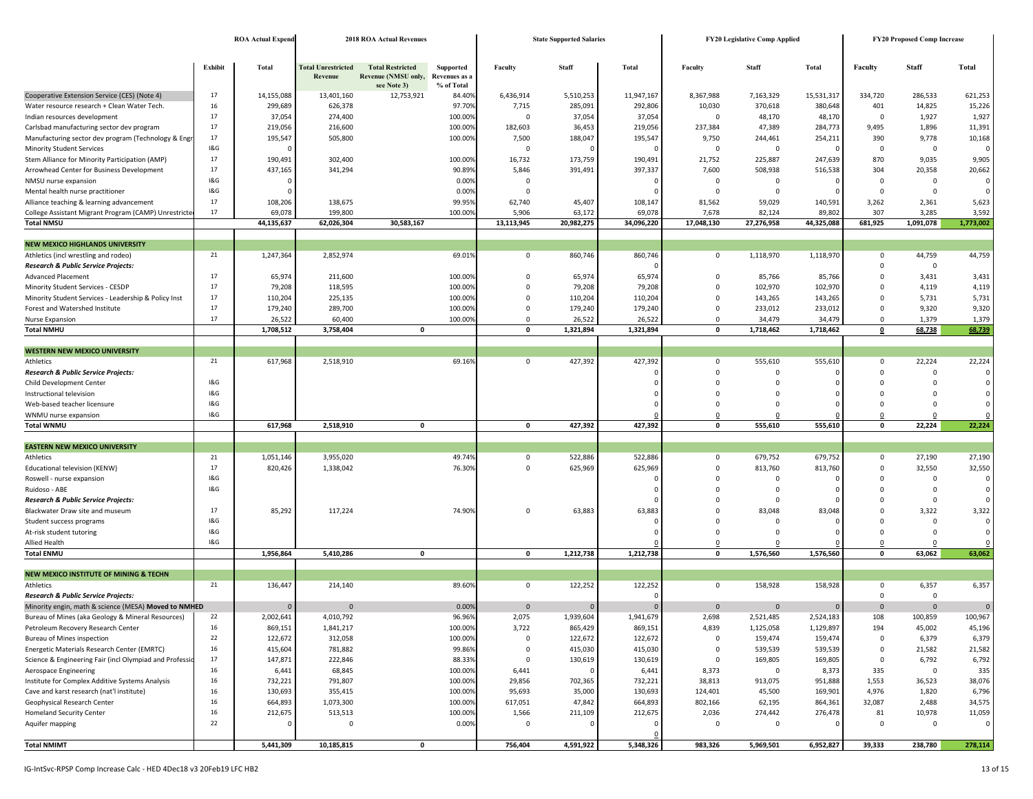|                                                                           |            | <b>ROA Actual Expend</b> | <b>2018 ROA Actual Revenues</b>             |                                                               |                                          |                         | <b>State Supported Salaries</b> |                    | FY20 Legislative Comp Applied | <b>FY20 Proposed Comp Increase</b> |                            |                            |                                  |                         |
|---------------------------------------------------------------------------|------------|--------------------------|---------------------------------------------|---------------------------------------------------------------|------------------------------------------|-------------------------|---------------------------------|--------------------|-------------------------------|------------------------------------|----------------------------|----------------------------|----------------------------------|-------------------------|
|                                                                           |            |                          |                                             |                                                               |                                          |                         |                                 |                    |                               |                                    |                            |                            |                                  |                         |
|                                                                           | Exhibit    | Total                    | <b>Total Unrestricted</b><br><b>Revenue</b> | <b>Total Restricted</b><br>Revenue (NMSU only,<br>see Note 3) | Supported<br>Revenues as a<br>% of Total | Faculty                 | <b>Staff</b>                    | <b>Total</b>       | Faculty                       | <b>Staff</b>                       | <b>Total</b>               | Faculty                    | Staff                            | Total                   |
| Cooperative Extension Service (CES) (Note 4)                              | 17         | 14,155,088               | 13,401,160                                  | 12,753,921                                                    | 84.40%                                   | 6,436,914               | 5,510,253                       | 11,947,167         | 8,367,988                     | 7,163,329                          | 15,531,317                 | 334,720                    | 286,533                          | 621,253                 |
| Water resource research + Clean Water Tech.                               | 16         | 299,689                  | 626,378                                     |                                                               | 97.70%                                   | 7,715                   | 285,091                         | 292,806            | 10,030                        | 370,618                            | 380,648                    | 401                        | 14,825                           | 15,226                  |
| Indian resources development                                              | 17         | 37,054                   | 274,400                                     |                                                               | 100.00%                                  | $\mathbf 0$             | 37,054                          | 37,054             | $\mathbf 0$                   | 48,170                             | 48,170                     | $\mathbf 0$                | 1,927                            | 1,927                   |
| Carlsbad manufacturing sector dev program                                 | 17         | 219,056                  | 216,600                                     |                                                               | 100.00%                                  | 182,603                 | 36,453                          | 219,056            | 237,384                       | 47,389                             | 284,773                    | 9,495                      | 1,896                            | 11,391                  |
| Manufacturing sector dev program (Technology & Eng                        | 17         | 195,547                  | 505,800                                     |                                                               | 100.00%                                  | 7,500                   | 188,047                         | 195,547            | 9,750                         | 244,461                            | 254,211                    | 390                        | 9,778                            | 10,168                  |
| <b>Minority Student Services</b>                                          | 1&G        |                          |                                             |                                                               |                                          | $\mathbf 0$             | $\Omega$                        | $\Omega$           | $\mathbf 0$                   | $\mathbf 0$                        | $\Omega$                   | $\mathbf 0$                | $\overline{0}$                   | $\Omega$                |
| Stem Alliance for Minority Participation (AMP)                            | 17         | 190,491                  | 302,400                                     |                                                               | 100.00%                                  | 16,732                  | 173,759                         | 190,491            | 21,752                        | 225,887                            | 247,639                    | 870                        | 9,035                            | 9,905                   |
| Arrowhead Center for Business Development                                 | 17<br>1&G  | 437,165                  | 341,294                                     |                                                               | 90.89%                                   | 5,846                   | 391,491                         | 397,337            | 7,600                         | 508,938                            | 516,538                    | 304                        | 20,358                           | 20,662                  |
| NMSU nurse expansion<br>Mental health nurse practitioner                  | 1&G        |                          |                                             |                                                               | 0.00%<br>0.00%                           | $\mathbf 0$<br>$\Omega$ |                                 | - 0                | $\mathbf 0$<br>$\Omega$       | $\mathbf 0$<br>0                   | $\overline{0}$<br>$\Omega$ | $\mathbf 0$<br>$\mathbf 0$ | $\mathsf 0$<br>$\overline{0}$    | $\mathbf 0$<br>$\Omega$ |
| Alliance teaching & learning advancement                                  | 17         | 108,206                  | 138,675                                     |                                                               | 99.95%                                   | 62,740                  | 45,407                          | 108,147            | 81,562                        | 59,029                             | 140,591                    | 3,262                      | 2,361                            | 5,623                   |
| College Assistant Migrant Program (CAMP) Unrestricte                      | 17         | 69,078                   | 199,800                                     |                                                               | 100.00%                                  | 5,906                   | 63,172                          | 69,078             | 7,678                         | 82,124                             | 89,802                     | 307                        | 3,285                            | 3,592                   |
| <b>Total NMSU</b>                                                         |            | 44,135,637               | 62,026,304                                  | 30,583,167                                                    |                                          | 13,113,945              | 20,982,275                      | 34,096,220         | 17,048,130                    | 27,276,958                         | 44,325,088                 | 681,925                    | 1,091,078                        | 1,773,002               |
|                                                                           |            |                          |                                             |                                                               |                                          |                         |                                 |                    |                               |                                    |                            |                            |                                  |                         |
| <b>NEW MEXICO HIGHLANDS UNIVERSITY</b>                                    |            |                          |                                             |                                                               |                                          |                         |                                 |                    |                               |                                    |                            |                            |                                  |                         |
| Athletics (incl wrestling and rodeo)                                      | 21         | 1,247,364                | 2,852,974                                   |                                                               | 69.01%                                   | $\mathbf 0$             | 860,746                         | 860,746            | $\mathbf 0$                   | 1,118,970                          | 1,118,970                  | $\mathbf 0$                | 44,759                           | 44,759                  |
| Research & Public Service Projects:                                       |            |                          |                                             |                                                               |                                          |                         |                                 |                    |                               |                                    |                            | $\mathbf 0$                | $\overline{0}$                   |                         |
| <b>Advanced Placement</b>                                                 | 17         | 65,974                   | 211,600                                     |                                                               | 100.00%                                  | 0                       | 65,974                          | 65,974             | 0                             | 85,766                             | 85,766                     | $\mathbf 0$                | 3,431                            | 3,431                   |
| Minority Student Services - CESDP                                         | 17         | 79,208                   | 118,595                                     |                                                               | 100.00%                                  | $\Omega$                | 79,208                          | 79,208             | $\Omega$                      | 102,970                            | 102,970                    | $\mathbf 0$                | 4,119                            | 4,119                   |
| Minority Student Services - Leadership & Policy Inst                      | 17         | 110,204                  | 225,135                                     |                                                               | 100.00%                                  | $\Omega$                | 110,204                         | 110,204            | $\Omega$                      | 143,265                            | 143,265                    | $\mathbf 0$                | 5,731                            | 5,731                   |
| Forest and Watershed Institute                                            | 17         | 179,240                  | 289,700                                     |                                                               | 100.00%                                  | $\Omega$                | 179,240                         | 179,240            | $\Omega$                      | 233,012                            | 233,012                    | $\mathbf 0$                | 9,320                            | 9,320                   |
| Nurse Expansion                                                           | 17         | 26,522                   | 60,400                                      |                                                               | 100.00%                                  | $\Omega$                | 26,522                          | 26,522             | $\Omega$                      | 34,479                             | 34,479                     | $\mathbf 0$                | 1,379                            | 1,379                   |
| <b>Total NMHU</b>                                                         |            | 1,708,512                | 3,758,404                                   | 0                                                             |                                          | 0                       | 1,321,894                       | 1,321,894          | $\mathbf{0}$                  | 1,718,462                          | 1,718,462                  | 0                          | 68,738                           | 68,739                  |
| <b>WESTERN NEW MEXICO UNIVERSITY</b>                                      |            |                          |                                             |                                                               |                                          |                         |                                 |                    |                               |                                    |                            |                            |                                  |                         |
| Athletics                                                                 | 21         | 617,968                  | 2,518,910                                   |                                                               | 69.16%                                   | 0                       | 427,392                         | 427,392            | $\mathbf 0$                   | 555,610                            | 555,610                    | $\mathbf 0$                | 22,224                           | 22,224                  |
| Research & Public Service Projects:                                       |            |                          |                                             |                                                               |                                          |                         |                                 |                    | 0                             | 0                                  | $\Omega$                   | $\mathbf 0$                | $\overline{0}$                   | $\mathbf 0$             |
| Child Development Center                                                  | 1&G        |                          |                                             |                                                               |                                          |                         |                                 |                    | 0                             | $\Omega$                           | $\Omega$                   | $\Omega$                   | $\overline{0}$                   | $\mathbf 0$             |
| Instructional television                                                  | 1&G        |                          |                                             |                                                               |                                          |                         |                                 |                    | $\Omega$                      | $\Omega$                           | $\Omega$                   | $\Omega$                   | $\Omega$                         | $\mathbf 0$             |
| Web-based teacher licensure                                               | 1&G        |                          |                                             |                                                               |                                          |                         |                                 |                    | $\Omega$                      | $\Omega$                           | $\Omega$                   | $\mathbf 0$                | $\overline{0}$                   | $\Omega$                |
| WNMU nurse expansion                                                      | 1&G        |                          |                                             |                                                               |                                          |                         |                                 |                    | 0                             | $\Omega$                           |                            | $\mathbf 0$                | $\overline{0}$                   |                         |
| <b>Total WNMU</b>                                                         |            | 617,968                  | 2,518,910                                   | $\pmb{\mathsf{o}}$                                            |                                          | 0                       | 427,392                         | 427,392            | $\mathbf{0}$                  | 555,610                            | 555,610                    | 0                          | 22,224                           | 22,224                  |
|                                                                           |            |                          |                                             |                                                               |                                          |                         |                                 |                    |                               |                                    |                            |                            |                                  |                         |
| <b>EASTERN NEW MEXICO UNIVERSITY</b>                                      |            |                          |                                             |                                                               |                                          |                         |                                 |                    |                               |                                    |                            |                            |                                  |                         |
| Athletics                                                                 | 21         | 1,051,146                | 3,955,020                                   |                                                               | 49.74%                                   | $\mathbf 0$             | 522,886                         | 522,886            | $\mathbf 0$                   | 679,752                            | 679,752                    | $\mathbf 0$                | 27,190                           | 27,190                  |
| Educational television (KENW)                                             | 17         | 820,426                  | 1,338,042                                   |                                                               | 76.30%                                   | $\Omega$                | 625,969                         | 625,969            | $\Omega$                      | 813,760                            | 813,760                    | $\mathbf 0$                | 32,550                           | 32,550                  |
| Roswell - nurse expansion                                                 | 1&G<br>1&G |                          |                                             |                                                               |                                          |                         |                                 | - 0                | 0                             | 0                                  | $\Omega$                   | $\mathbf 0$                | $\overline{0}$                   | $\mathbf 0$<br>$\Omega$ |
| Ruidoso - ABE<br>Research & Public Service Projects:                      |            |                          |                                             |                                                               |                                          |                         |                                 |                    | $\Omega$<br>0                 | 0<br>0                             | $\Omega$                   | $\mathbf 0$<br>$\mathbf 0$ | $\overline{0}$<br>$\overline{0}$ | $\Omega$                |
| Blackwater Draw site and museum                                           | 17         | 85,292                   | 117,224                                     |                                                               | 74.90%                                   | $\Omega$                | 63,883                          | 63,883             | $\Omega$                      | 83,048                             | 83,048                     | $\Omega$                   | 3,322                            | 3,322                   |
| Student success programs                                                  | 1&G        |                          |                                             |                                                               |                                          |                         |                                 |                    | 0                             | 0                                  |                            | $\mathbf 0$                | $\overline{0}$                   | $\mathbf 0$             |
| At-risk student tutoring                                                  | 1&G        |                          |                                             |                                                               |                                          |                         |                                 | $\Omega$           | $\Omega$                      | 0                                  | $\Omega$                   | $\Omega$                   | $\overline{0}$                   | $\Omega$                |
| Allied Health                                                             | 1&G        |                          |                                             |                                                               |                                          |                         |                                 |                    | 0                             | 0                                  |                            | 0                          | $\overline{0}$                   |                         |
| <b>Total ENMU</b>                                                         |            | 1,956,864                | 5,410,286                                   | 0                                                             |                                          | 0                       | 1,212,738                       | 1,212,738          | $\mathbf{0}$                  | 1,576,560                          | 1,576,560                  | 0                          | 63,062                           | 63,062                  |
|                                                                           |            |                          |                                             |                                                               |                                          |                         |                                 |                    |                               |                                    |                            |                            |                                  |                         |
| <b>NEW MEXICO INSTITUTE OF MINING &amp; TECHN</b>                         |            |                          |                                             |                                                               |                                          |                         |                                 |                    |                               |                                    |                            |                            |                                  |                         |
| Athletics                                                                 | 21         | 136,447                  | 214,140                                     |                                                               | 89.609                                   | $\mathbf 0$             | 122,252                         | 122,252            | $\mathbf 0$                   | 158,928                            | 158,928                    | 0                          | 6,357                            | 6,357                   |
| Research & Public Service Projects:                                       |            |                          |                                             |                                                               |                                          |                         |                                 |                    |                               |                                    |                            | 0                          | $\overline{0}$                   |                         |
| Minority engin, math & science (MESA) Moved to NMHED                      |            | $\Omega$                 | $\overline{0}$                              |                                                               | 0.00%                                    | $\mathbf{0}$            | $\mathbf{0}$                    | $\Omega$           | $\mathbf{0}$                  | $\mathbf{0}$                       | $\Omega$                   | $\Omega$                   | $\mathbf{0}$                     | $\mathbf 0$             |
| Bureau of Mines (aka Geology & Mineral Resources)                         | 22         | 2,002,641                | 4,010,792                                   |                                                               | 96.96%                                   | 2,075                   | 1,939,604                       | 1,941,679          | 2,698                         | 2,521,485                          | 2,524,183                  | 108                        | 100,859                          | 100,967                 |
| Petroleum Recovery Research Center                                        | 16<br>22   | 869,151<br>122,672       | 1,841,217                                   |                                                               | 100.00%<br>100.00%                       | 3,722                   | 865,429<br>122,672              | 869,151            | 4,839                         | 1,125,058                          | 1,129,897                  | 194<br>0                   | 45,002                           | 45,196                  |
| Bureau of Mines inspection<br>Energetic Materials Research Center (EMRTC) | 16         | 415,604                  | 312,058<br>781,882                          |                                                               | 99.86%                                   | 0<br>$\mathbf 0$        | 415,030                         | 122,672<br>415,030 | 0<br>0                        | 159,474<br>539,539                 | 159,474<br>539,539         | 0                          | 6,379<br>21,582                  | 6,379<br>21,582         |
| Science & Engineering Fair (incl Olympiad and Professi                    | 17         | 147,871                  | 222,846                                     |                                                               | 88.33%                                   | $\mathsf 0$             | 130,619                         | 130,619            | 0                             | 169,805                            | 169,805                    | $\mathbf 0$                | 6,792                            | 6,792                   |
| Aerospace Engineering                                                     | 16         | 6,441                    | 68,845                                      |                                                               | 100.00%                                  | 6,441                   |                                 | 6,441              | 8,373                         | 0                                  | 8,373                      | 335                        | $\overline{0}$                   | 335                     |
| Institute for Complex Additive Systems Analysis                           | 16         | 732,221                  | 791,807                                     |                                                               | 100.00%                                  | 29,856                  | 702,365                         | 732,221            | 38,813                        | 913,075                            | 951,888                    | 1,553                      | 36,523                           | 38,076                  |
| Cave and karst research (nat'l institute)                                 | 16         | 130,693                  | 355,415                                     |                                                               | 100.00%                                  | 95,693                  | 35,000                          | 130,693            | 124,401                       | 45,500                             | 169,901                    | 4,976                      | 1,820                            | 6,796                   |
| Geophysical Research Center                                               | 16         | 664,893                  | 1,073,300                                   |                                                               | 100.00%                                  | 617,051                 | 47,842                          | 664,893            | 802,166                       | 62,195                             | 864,361                    | 32,087                     | 2,488                            | 34,575                  |
| <b>Homeland Security Center</b>                                           | 16         | 212,675                  | 513,513                                     |                                                               | 100.00%                                  | 1,566                   | 211,109                         | 212,675            | 2,036                         | 274,442                            | 276,478                    | 81                         | 10,978                           | 11,059                  |
| Aquifer mapping                                                           | 22         |                          | 0                                           |                                                               | 0.00%                                    | $\mathbf 0$             | $\Omega$                        |                    | $\mathbf 0$                   | 0                                  | 0                          | 0                          | $\mathbf 0$                      | $\mathbf 0$             |
|                                                                           |            |                          |                                             |                                                               |                                          |                         |                                 |                    |                               |                                    |                            |                            |                                  |                         |
| <b>Total NMIMT</b>                                                        |            | 5,441,309                | 10,185,815                                  | $\mathbf 0$                                                   |                                          | 756,404                 | 4,591,922                       | 5,348,326          | 983,326                       | 5,969,501                          | 6,952,827                  | 39,333                     | 238,780                          | 278,114                 |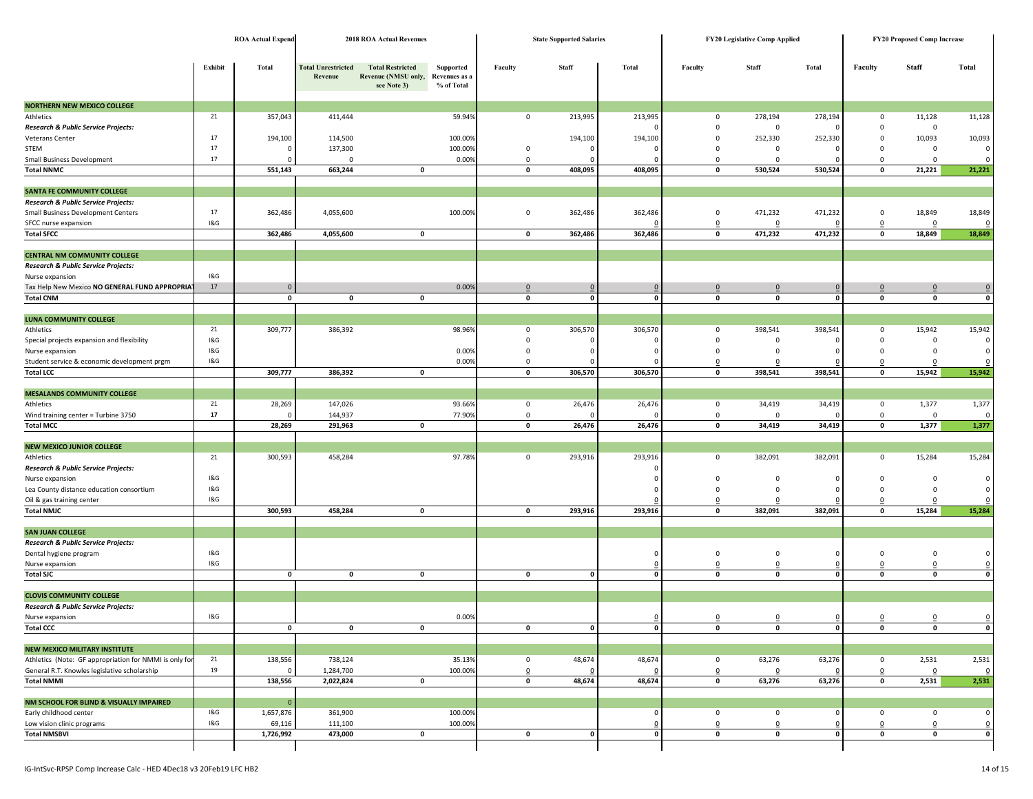|                                                        |            | <b>ROA Actual Expend</b> |                                      | <b>2018 ROA Actual Revenues</b>                                             |                         |              | <b>State Supported Salaries</b> |              | FY20 Legislative Comp Applied | <b>FY20 Proposed Comp Increase</b> |                     |              |              |              |
|--------------------------------------------------------|------------|--------------------------|--------------------------------------|-----------------------------------------------------------------------------|-------------------------|--------------|---------------------------------|--------------|-------------------------------|------------------------------------|---------------------|--------------|--------------|--------------|
|                                                        |            |                          |                                      |                                                                             |                         |              |                                 |              |                               |                                    |                     |              |              |              |
|                                                        | Exhibit    | <b>Total</b>             | <b>Total Unrestricted</b><br>Revenue | <b>Total Restricted</b><br>Revenue (NMSU only, Revenues as a<br>see Note 3) | Supported<br>% of Total | Faculty      | Staff                           | Total        | Faculty                       | Staff                              | Total               | Faculty      | Staff        | Total        |
| <b>NORTHERN NEW MEXICO COLLEGE</b>                     |            |                          |                                      |                                                                             |                         |              |                                 |              |                               |                                    |                     |              |              |              |
| Athletics                                              | 21         | 357,043                  | 411,444                              |                                                                             | 59.94%                  | $\mathbf 0$  | 213,995                         | 213,995      | 0                             | 278,194                            | 278,194             | 0            | 11,128       | 11,128       |
| Research & Public Service Projects:                    |            |                          |                                      |                                                                             |                         |              |                                 |              | 0                             | $\mathbf 0$                        |                     | 0            | $\mathbf 0$  |              |
| Veterans Center                                        | 17         | 194,100                  | 114,500                              |                                                                             | 100.00%                 |              | 194,100                         | 194,100      | $\mathbf 0$                   | 252,330                            | 252,330             | 0            | 10,093       | 10,093       |
| <b>STEM</b>                                            | 17         |                          | 137,300                              |                                                                             | 100.00%                 | $\mathbf 0$  | $\mathbf 0$                     | $\Omega$     | $\mathbf 0$                   | $\mathbf 0$                        | $\Omega$            | 0            | 0            |              |
| <b>Small Business Development</b>                      | 17         |                          | 0                                    |                                                                             | 0.00%                   | $\mathbf 0$  | $\Omega$                        |              | $\mathbf 0$                   | $\mathbf 0$                        |                     | $\mathbf 0$  | $\mathbf 0$  |              |
| <b>Total NNMC</b>                                      |            | 551,143                  | 663,244                              | 0                                                                           |                         | 0            | 408,095                         | 408,095      | $\mathbf 0$                   | 530,524                            | 530,524             | $\mathbf 0$  | 21,221       | 21,221       |
|                                                        |            |                          |                                      |                                                                             |                         |              |                                 |              |                               |                                    |                     |              |              |              |
| SANTA FE COMMUNITY COLLEGE                             |            |                          |                                      |                                                                             |                         |              |                                 |              |                               |                                    |                     |              |              |              |
| Research & Public Service Projects:                    |            |                          |                                      |                                                                             |                         |              |                                 |              |                               |                                    |                     |              |              |              |
| Small Business Development Centers                     | 17         | 362,486                  | 4,055,600                            |                                                                             | 100.00%                 | $\mathbf 0$  | 362,486                         | 362,486      | $\mathsf 0$                   | 471,232                            | 471,232             | 0            | 18,849       | 18,849       |
| SFCC nurse expansion                                   | 18G        |                          |                                      |                                                                             |                         |              |                                 |              | 0                             | 0                                  |                     | 0            | 0            |              |
| <b>Total SFCC</b>                                      |            | 362,486                  | 4,055,600                            | $\mathbf 0$                                                                 |                         | $\mathbf 0$  | 362,486                         | 362,486      | $\pmb{\mathsf{o}}$            | 471,232                            | 471,232             | 0            | 18,849       | 18,849       |
|                                                        |            |                          |                                      |                                                                             |                         |              |                                 |              |                               |                                    |                     |              |              |              |
| <b>CENTRAL NM COMMUNITY COLLEGE</b>                    |            |                          |                                      |                                                                             |                         |              |                                 |              |                               |                                    |                     |              |              |              |
| Research & Public Service Projects:                    |            |                          |                                      |                                                                             |                         |              |                                 |              |                               |                                    |                     |              |              |              |
| Nurse expansion                                        | 1&G        |                          |                                      |                                                                             |                         |              |                                 |              |                               |                                    |                     |              |              |              |
| Tax Help New Mexico NO GENERAL FUND APPROPRIA          | 17         |                          |                                      |                                                                             | 0.009                   | $\mathbf 0$  | $\mathbf 0$                     |              | $\mathbf 0$                   | $\mathbf 0$                        |                     | $\mathbf 0$  | $\mathbf{0}$ |              |
| <b>Total CNM</b>                                       |            | 0                        | $\mathbf 0$                          | 0                                                                           |                         | 0            | 0                               | $\mathbf{0}$ | 0                             | $\mathbf 0$                        | $\mathbf 0$         | 0            | 0            | 0            |
|                                                        |            |                          |                                      |                                                                             |                         |              |                                 |              |                               |                                    |                     |              |              |              |
| <b>LUNA COMMUNITY COLLEGE</b>                          |            |                          |                                      |                                                                             |                         |              |                                 |              |                               |                                    |                     |              |              |              |
| Athletics                                              | 21         | 309,777                  | 386,392                              |                                                                             | 98.96%                  | $\mathbf 0$  | 306,570                         | 306,570      | $\mathbf 0$                   | 398,541                            | 398,541             | 0            | 15,942       | 15,942       |
| Special projects expansion and flexibility             | 18G        |                          |                                      |                                                                             |                         | $\mathbf 0$  | $\mathbf 0$                     |              | $\mathsf 0$                   | 0                                  |                     | $\mathbf 0$  | $\mathbf 0$  |              |
| Nurse expansion                                        | 1&G        |                          |                                      |                                                                             | 0.00%                   | $\mathbf 0$  | 0                               |              | $\mathbf 0$                   | $\mathbf 0$                        |                     | $^{\circ}$   | $\mathbf 0$  |              |
| Student service & economic development prgm            | 1&G        |                          |                                      |                                                                             | 0.00%                   | 0            |                                 |              | 0                             | C                                  |                     | 0            | $\Omega$     |              |
| <b>Total LCC</b>                                       |            | 309,777                  | 386,392                              | 0                                                                           |                         | 0            | 306,570                         | 306,570      | $\mathbf 0$                   | 398,541                            | 398,541             | 0            | 15,942       | 15,942       |
|                                                        |            |                          |                                      |                                                                             |                         |              |                                 |              |                               |                                    |                     |              |              |              |
| <b>MESALANDS COMMUNITY COLLEGE</b>                     |            |                          |                                      |                                                                             |                         |              |                                 |              |                               |                                    |                     |              |              |              |
| Athletics                                              | 21         | 28,269                   | 147,026                              |                                                                             | 93.66%                  | $\mathbf 0$  | 26,476                          | 26,476       | 0                             | 34,419                             | 34,419              | $\mathbf 0$  | 1,377        | 1,377        |
| Wind training center = Turbine 3750                    | ${\bf 17}$ |                          | 144,937                              |                                                                             | 77.90%                  | $\mathsf 0$  | $\Omega$                        |              | $\mathsf 0$                   | $\mathbf 0$                        |                     | 0            | 0            |              |
| <b>Total MCC</b>                                       |            | 28,269                   | 291,963                              | 0                                                                           |                         | $\mathbf 0$  | 26,476                          | 26,476       | $\pmb{\mathsf{o}}$            | 34,419                             | 34,419              | 0            | 1,377        | 1,377        |
|                                                        |            |                          |                                      |                                                                             |                         |              |                                 |              |                               |                                    |                     |              |              |              |
| <b>NEW MEXICO JUNIOR COLLEGE</b>                       |            |                          |                                      |                                                                             |                         |              |                                 |              |                               |                                    |                     |              |              |              |
| Athletics                                              | 21         | 300,593                  | 458,284                              |                                                                             | 97.78%                  | 0            | 293,916                         | 293,916      | 0                             | 382,091                            | 382,091             | $\mathbf 0$  | 15,284       | 15,284       |
| Research & Public Service Projects:                    |            |                          |                                      |                                                                             |                         |              |                                 |              |                               |                                    |                     |              |              |              |
| Nurse expansion                                        | 1&G        |                          |                                      |                                                                             |                         |              |                                 |              | $\mathbf 0$                   | $\mathbf{0}$                       |                     | $\Omega$     | $\mathbf 0$  | $\Omega$     |
| Lea County distance education consortium               | 1&G        |                          |                                      |                                                                             |                         |              |                                 |              | $\mathbf 0$                   | $\mathbf{0}$                       |                     | $\mathbf 0$  | 0            |              |
| Oil & gas training center                              | 1&G        |                          |                                      |                                                                             |                         |              |                                 |              | $\Omega$                      | O                                  |                     | 0            | 0            |              |
| <b>Total NMJC</b>                                      |            | 300,593                  | 458,284                              | 0                                                                           |                         | 0            | 293,916                         | 293,916      | 0                             | 382,091                            | 382,091             | 0            | 15,284       | 15,284       |
|                                                        |            |                          |                                      |                                                                             |                         |              |                                 |              |                               |                                    |                     |              |              |              |
| <b>SAN JUAN COLLEGE</b>                                |            |                          |                                      |                                                                             |                         |              |                                 |              |                               |                                    |                     |              |              |              |
| Research & Public Service Projects:                    |            |                          |                                      |                                                                             |                         |              |                                 |              |                               |                                    |                     |              |              |              |
| Dental hygiene program                                 | 1&G        |                          |                                      |                                                                             |                         |              |                                 | $\Omega$     | $\mathbf 0$                   | $\mathbf{0}$                       | $\Omega$            | $\mathbf 0$  | $\mathbf 0$  | $\Omega$     |
| Nurse expansion                                        | 1&G        |                          |                                      |                                                                             |                         |              |                                 | $\mathbf 0$  | $\mathsf 0$                   | 0                                  |                     | 0            | 0            |              |
| <b>Total SJC</b>                                       |            | 0                        | $\pmb{0}$                            | $\pmb{0}$                                                                   |                         | $\mathbf 0$  | $\pmb{0}$                       | $\mathbf 0$  | $\pmb{\mathsf{o}}$            | $\mathbf 0$                        | $\mathbf 0$         | $\mathbf{0}$ | $\mathbf 0$  | $\mathbf{0}$ |
|                                                        |            |                          |                                      |                                                                             |                         |              |                                 |              |                               |                                    |                     |              |              |              |
| <b>CLOVIS COMMUNITY COLLEGE</b>                        |            |                          |                                      |                                                                             |                         |              |                                 |              |                               |                                    |                     |              |              |              |
| Research & Public Service Projects:                    |            |                          |                                      |                                                                             |                         |              |                                 |              |                               |                                    |                     |              |              |              |
| Nurse expansion                                        | 1&G        |                          |                                      |                                                                             | 0.00%                   |              |                                 | $\Omega$     | $\Omega$                      | $\Omega$                           | $\mathbf{0}$        | $\mathbf{0}$ | $\mathbf 0$  | $\Omega$     |
| <b>Total CCC</b>                                       |            | 0                        | $\pmb{0}$                            | 0                                                                           |                         | $\mathbf 0$  | $\pmb{0}$                       | $\mathbf 0$  | $\mathbf 0$                   | $\mathbf 0$                        | $\circ$             | $\mathbf 0$  | 0            | $\mathbf 0$  |
|                                                        |            |                          |                                      |                                                                             |                         |              |                                 |              |                               |                                    |                     |              |              |              |
| NEW MEXICO MILITARY INSTITUTE                          |            |                          |                                      |                                                                             |                         |              |                                 |              |                               |                                    |                     |              |              |              |
| Athletics (Note: GF appropriation for NMMI is only for | 21         | 138,556                  | 738,124                              |                                                                             | 35.13%                  | $\mathsf 0$  | 48,674                          | 48,674       | $\overline{0}$                | 63,276                             | 63,276              | $\mathbf 0$  | 2,531        | 2,531        |
| General R.T. Knowles legislative scholarship           | 19         |                          | 1,284,700                            |                                                                             | 100.00%                 | $\Omega$     |                                 |              | $\Omega$                      | $\Omega$                           |                     | $\Omega$     | 0            | - 0          |
| <b>Total NMMI</b>                                      |            | 138,556                  | 2,022,824                            | $\pmb{\mathsf{o}}$                                                          |                         | 0            | 48,674                          | 48,674       | $\pmb{\mathsf{o}}$            | 63,276                             | 63,276              | $\mathbf 0$  | 2,531        | 2,531        |
|                                                        |            |                          |                                      |                                                                             |                         |              |                                 |              |                               |                                    |                     |              |              |              |
| NM SCHOOL FOR BLIND & VISUALLY IMPAIRED                |            | $\Omega$                 |                                      |                                                                             |                         |              |                                 |              |                               |                                    |                     |              |              |              |
| Early childhood center                                 | 1&G        | 1,657,876                | 361,900                              |                                                                             | 100.00%                 |              |                                 | $\Omega$     | 0                             | 0                                  |                     | $\mathbf 0$  | $\mathbf 0$  | $\Omega$     |
| Low vision clinic programs                             | 1&G        | 69,116                   | 111,100                              |                                                                             | 100.00%                 |              |                                 | 0            | $\Omega$                      | 0                                  | $\Omega$<br>$\circ$ | 0            | 0            | 0            |
| <b>Total NMSBVI</b>                                    |            | 1,726,992                | 473,000                              | $\mathbf 0$                                                                 |                         | $\mathbf{0}$ | $\mathbf 0$                     | $\mathbf 0$  | $\mathbf 0$                   | $\mathbf{0}$                       |                     | $\mathbf 0$  | 0            | $\circ$      |
|                                                        |            |                          |                                      |                                                                             |                         |              |                                 |              |                               |                                    |                     |              |              |              |